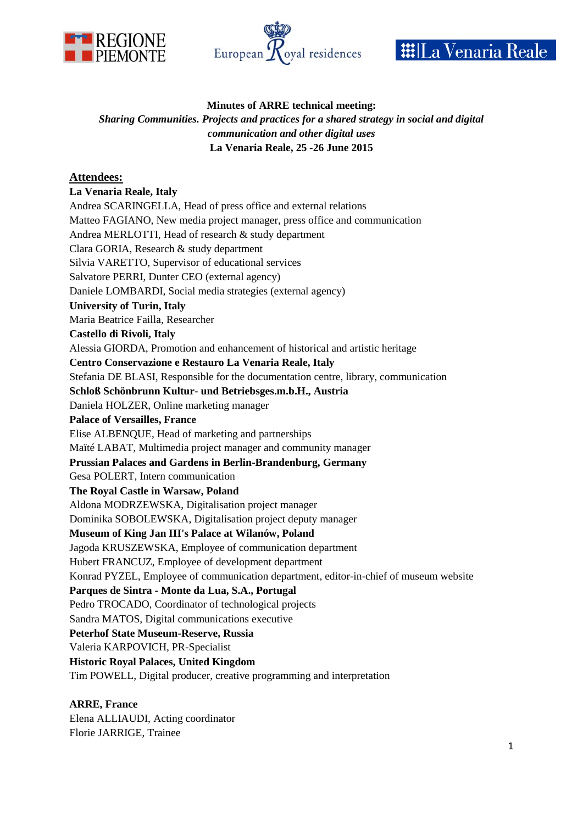





# **Minutes of ARRE technical meeting:**

## *Sharing Communities. Projects and practices for a shared strategy in social and digital communication and other digital uses* **La Venaria Reale, 25 -26 June 2015**

# **Attendees:**

## **La Venaria Reale, Italy**

Andrea SCARINGELLA, Head of press office and external relations Matteo FAGIANO, New media project manager, press office and communication Andrea MERLOTTI, Head of research & study department Clara GORIA, Research & study department Silvia VARETTO, Supervisor of educational services Salvatore PERRI, Dunter CEO (external agency) Daniele LOMBARDI, Social media strategies (external agency) **University of Turin, Italy**  Maria Beatrice Failla, Researcher **Castello di Rivoli, Italy**  Alessia GIORDA, Promotion and enhancement of historical and artistic heritage **Centro Conservazione e Restauro La Venaria Reale, Italy** Stefania DE BLASI, Responsible for the documentation centre, library, communication **Schloß Schönbrunn Kultur- und Betriebsges.m.b.H., Austria** Daniela HOLZER, Online marketing manager **Palace of Versailles, France** Elise ALBENQUE, Head of marketing and partnerships Maïté LABAT, Multimedia project manager and community manager **Prussian Palaces and Gardens in Berlin-Brandenburg, Germany**  Gesa POLERT, Intern communication **The Royal Castle in Warsaw, Poland** Aldona MODRZEWSKA, Digitalisation project manager Dominika SOBOLEWSKA, Digitalisation project deputy manager **Museum of King Jan III's Palace at Wilanów, Poland** Jagoda KRUSZEWSKA, Employee of communication department Hubert FRANCUZ, Employee of development department Konrad PYZEL, Employee of communication department, editor-in-chief of museum website **Parques de Sintra - Monte da Lua, S.A., Portugal** Pedro TROCADO, Coordinator of technological projects Sandra MATOS, Digital communications executive **Peterhof State Museum-Reserve, Russia** Valeria KARPOVICH, PR-Specialist **Historic Royal Palaces, United Kingdom** Tim POWELL, Digital producer, creative programming and interpretation

# **ARRE, France**

Elena ALLIAUDI, Acting coordinator Florie JARRIGE, Trainee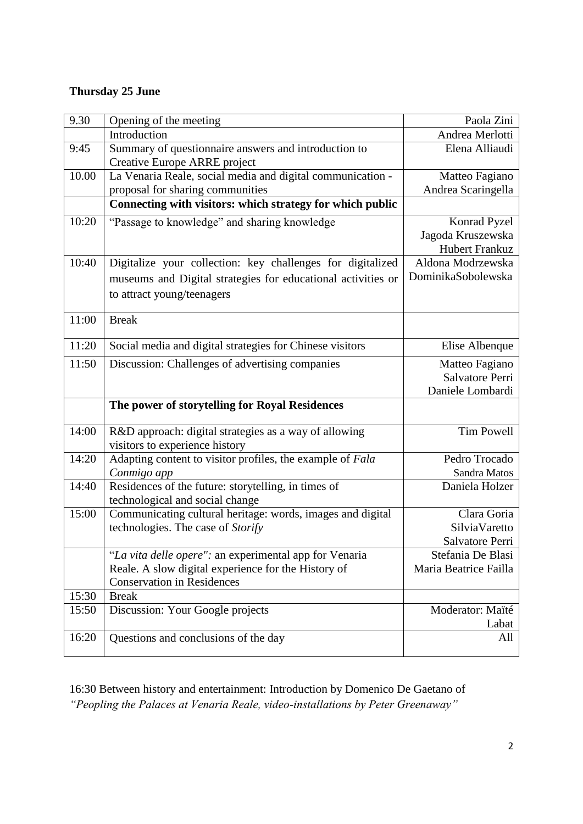# **Thursday 25 June**

| 9.30  | Opening of the meeting                                       | Paola Zini            |
|-------|--------------------------------------------------------------|-----------------------|
|       | Introduction                                                 | Andrea Merlotti       |
| 9:45  | Summary of questionnaire answers and introduction to         | Elena Alliaudi        |
|       | Creative Europe ARRE project                                 |                       |
| 10.00 | La Venaria Reale, social media and digital communication -   | Matteo Fagiano        |
|       | proposal for sharing communities                             | Andrea Scaringella    |
|       | Connecting with visitors: which strategy for which public    |                       |
| 10:20 | "Passage to knowledge" and sharing knowledge                 | Konrad Pyzel          |
|       |                                                              | Jagoda Kruszewska     |
|       |                                                              | <b>Hubert Frankuz</b> |
| 10:40 | Digitalize your collection: key challenges for digitalized   | Aldona Modrzewska     |
|       | museums and Digital strategies for educational activities or | DominikaSobolewska    |
|       | to attract young/teenagers                                   |                       |
|       |                                                              |                       |
| 11:00 | <b>Break</b>                                                 |                       |
|       |                                                              |                       |
| 11:20 | Social media and digital strategies for Chinese visitors     | Elise Albenque        |
| 11:50 | Discussion: Challenges of advertising companies              | Matteo Fagiano        |
|       |                                                              | Salvatore Perri       |
|       |                                                              | Daniele Lombardi      |
|       | The power of storytelling for Royal Residences               |                       |
| 14:00 | R&D approach: digital strategies as a way of allowing        | <b>Tim Powell</b>     |
|       | visitors to experience history                               |                       |
| 14:20 | Adapting content to visitor profiles, the example of Fala    | Pedro Trocado         |
|       | Conmigo app                                                  | Sandra Matos          |
| 14:40 | Residences of the future: storytelling, in times of          | Daniela Holzer        |
|       | technological and social change                              |                       |
| 15:00 | Communicating cultural heritage: words, images and digital   | Clara Goria           |
|       | technologies. The case of Storify                            | SilviaVaretto         |
|       |                                                              | Salvatore Perri       |
|       | "La vita delle opere": an experimental app for Venaria       | Stefania De Blasi     |
|       | Reale. A slow digital experience for the History of          | Maria Beatrice Failla |
|       | <b>Conservation in Residences</b>                            |                       |
| 15:30 | <b>Break</b>                                                 |                       |
| 15:50 | Discussion: Your Google projects                             | Moderator: Maïté      |
|       |                                                              | Labat                 |
| 16:20 | Questions and conclusions of the day                         | All                   |
|       |                                                              |                       |

16:30 Between history and entertainment: Introduction by Domenico De Gaetano of *"Peopling the Palaces at Venaria Reale, video-installations by Peter Greenaway"*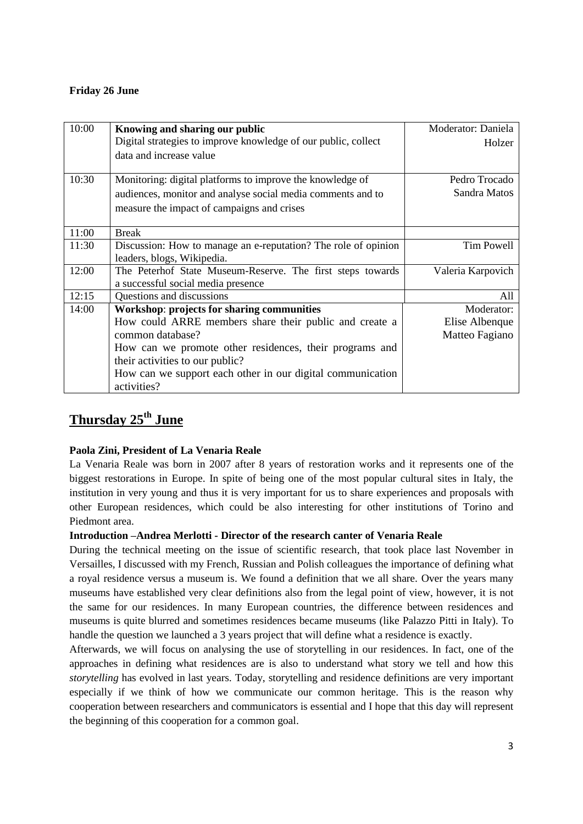## **Friday 26 June**

| 10:00 | <b>Knowing and sharing our public</b>                          | Moderator: Daniela |
|-------|----------------------------------------------------------------|--------------------|
|       | Digital strategies to improve knowledge of our public, collect | Holzer             |
|       | data and increase value                                        |                    |
|       |                                                                |                    |
| 10:30 | Monitoring: digital platforms to improve the knowledge of      | Pedro Trocado      |
|       | audiences, monitor and analyse social media comments and to    | Sandra Matos       |
|       | measure the impact of campaigns and crises                     |                    |
|       |                                                                |                    |
| 11:00 | <b>Break</b>                                                   |                    |
| 11:30 | Discussion: How to manage an e-reputation? The role of opinion | Tim Powell         |
|       | leaders, blogs, Wikipedia.                                     |                    |
| 12:00 | The Peterhof State Museum-Reserve. The first steps towards     | Valeria Karpovich  |
|       | a successful social media presence                             |                    |
| 12:15 | Questions and discussions                                      | All                |
| 14:00 | <b>Workshop: projects for sharing communities</b>              | Moderator:         |
|       | How could ARRE members share their public and create a         | Elise Albenque     |
|       | common database?                                               | Matteo Fagiano     |
|       | How can we promote other residences, their programs and        |                    |
|       | their activities to our public?                                |                    |
|       | How can we support each other in our digital communication     |                    |
|       | activities?                                                    |                    |

# **Thursday 25th June**

# **Paola Zini, President of La Venaria Reale**

La Venaria Reale was born in 2007 after 8 years of restoration works and it represents one of the biggest restorations in Europe. In spite of being one of the most popular cultural sites in Italy, the institution in very young and thus it is very important for us to share experiences and proposals with other European residences, which could be also interesting for other institutions of Torino and Piedmont area.

#### **Introduction –Andrea Merlotti - Director of the research canter of Venaria Reale**

During the technical meeting on the issue of scientific research, that took place last November in Versailles, I discussed with my French, Russian and Polish colleagues the importance of defining what a royal residence versus a museum is. We found a definition that we all share. Over the years many museums have established very clear definitions also from the legal point of view, however, it is not the same for our residences. In many European countries, the difference between residences and museums is quite blurred and sometimes residences became museums (like Palazzo Pitti in Italy). To handle the question we launched a 3 years project that will define what a residence is exactly.

Afterwards, we will focus on analysing the use of storytelling in our residences. In fact, one of the approaches in defining what residences are is also to understand what story we tell and how this *storytelling* has evolved in last years. Today, storytelling and residence definitions are very important especially if we think of how we communicate our common heritage. This is the reason why cooperation between researchers and communicators is essential and I hope that this day will represent the beginning of this cooperation for a common goal.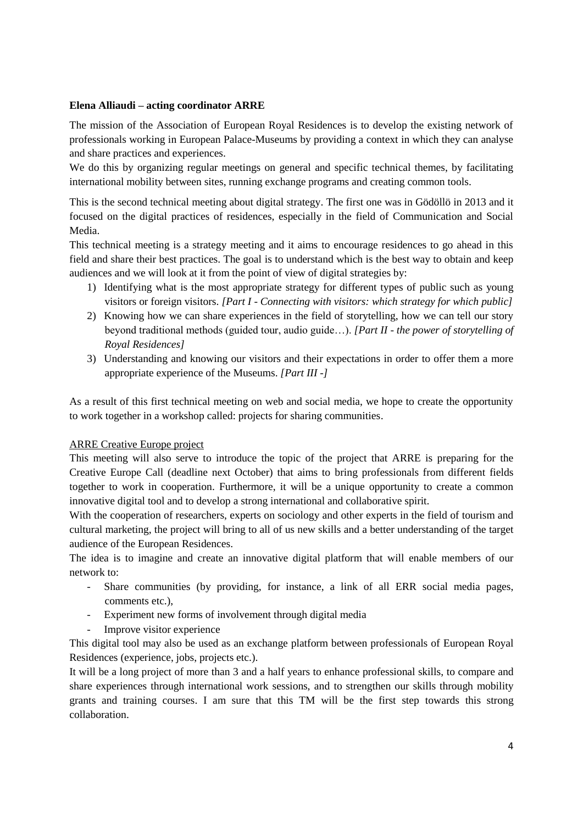## **Elena Alliaudi – acting coordinator ARRE**

The mission of the Association of European Royal Residences is to develop the existing network of professionals working in European Palace-Museums by providing a context in which they can analyse and share practices and experiences.

We do this by organizing regular meetings on general and specific technical themes, by facilitating international mobility between sites, running exchange programs and creating common tools.

This is the second technical meeting about digital strategy. The first one was in Gödöllö in 2013 and it focused on the digital practices of residences, especially in the field of Communication and Social Media.

This technical meeting is a strategy meeting and it aims to encourage residences to go ahead in this field and share their best practices. The goal is to understand which is the best way to obtain and keep audiences and we will look at it from the point of view of digital strategies by:

- 1) Identifying what is the most appropriate strategy for different types of public such as young visitors or foreign visitors. *[Part I - Connecting with visitors: which strategy for which public]*
- 2) Knowing how we can share experiences in the field of storytelling, how we can tell our story beyond traditional methods (guided tour, audio guide…). *[Part II - the power of storytelling of Royal Residences]*
- 3) Understanding and knowing our visitors and their expectations in order to offer them a more appropriate experience of the Museums. *[Part III -]*

As a result of this first technical meeting on web and social media, we hope to create the opportunity to work together in a workshop called: projects for sharing communities.

#### ARRE Creative Europe project

This meeting will also serve to introduce the topic of the project that ARRE is preparing for the Creative Europe Call (deadline next October) that aims to bring professionals from different fields together to work in cooperation. Furthermore, it will be a unique opportunity to create a common innovative digital tool and to develop a strong international and collaborative spirit.

With the cooperation of researchers, experts on sociology and other experts in the field of tourism and cultural marketing, the project will bring to all of us new skills and a better understanding of the target audience of the European Residences.

The idea is to imagine and create an innovative digital platform that will enable members of our network to:

- Share communities (by providing, for instance, a link of all ERR social media pages, comments etc.),
- Experiment new forms of involvement through digital media
- Improve visitor experience

This digital tool may also be used as an exchange platform between professionals of European Royal Residences (experience, jobs, projects etc.).

It will be a long project of more than 3 and a half years to enhance professional skills, to compare and share experiences through international work sessions, and to strengthen our skills through mobility grants and training courses. I am sure that this TM will be the first step towards this strong collaboration.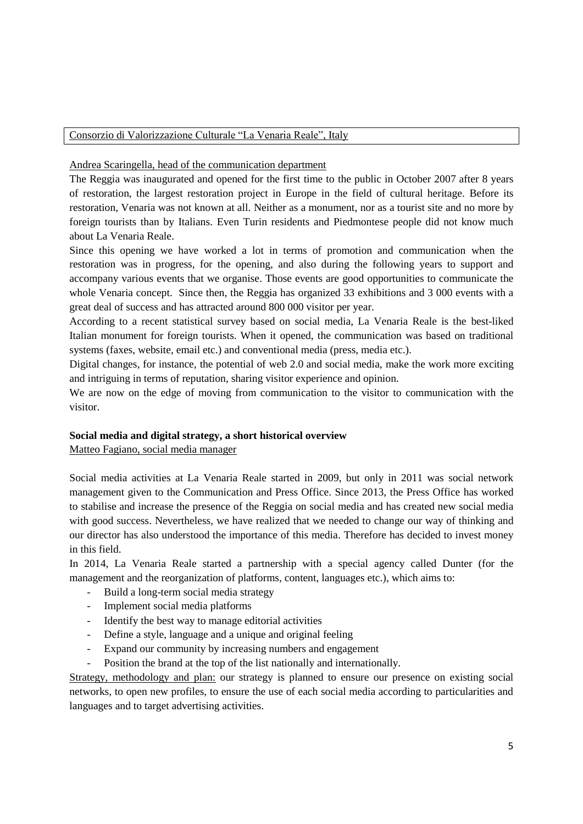#### Consorzio di Valorizzazione Culturale "La Venaria Reale", Italy

Andrea Scaringella, head of the communication department

The Reggia was inaugurated and opened for the first time to the public in October 2007 after 8 years of restoration, the largest restoration project in Europe in the field of cultural heritage. Before its restoration, Venaria was not known at all. Neither as a monument, nor as a tourist site and no more by foreign tourists than by Italians. Even Turin residents and Piedmontese people did not know much about La Venaria Reale.

Since this opening we have worked a lot in terms of promotion and communication when the restoration was in progress, for the opening, and also during the following years to support and accompany various events that we organise. Those events are good opportunities to communicate the whole Venaria concept. Since then, the Reggia has organized 33 exhibitions and 3 000 events with a great deal of success and has attracted around 800 000 visitor per year.

According to a recent statistical survey based on social media, La Venaria Reale is the best-liked Italian monument for foreign tourists. When it opened, the communication was based on traditional systems (faxes, website, email etc.) and conventional media (press, media etc.).

Digital changes, for instance, the potential of web 2.0 and social media, make the work more exciting and intriguing in terms of reputation, sharing visitor experience and opinion.

We are now on the edge of moving from communication to the visitor to communication with the visitor.

#### **Social media and digital strategy, a short historical overview**

Matteo Fagiano, social media manager

Social media activities at La Venaria Reale started in 2009, but only in 2011 was social network management given to the Communication and Press Office. Since 2013, the Press Office has worked to stabilise and increase the presence of the Reggia on social media and has created new social media with good success. Nevertheless, we have realized that we needed to change our way of thinking and our director has also understood the importance of this media. Therefore has decided to invest money in this field.

In 2014, La Venaria Reale started a partnership with a special agency called Dunter (for the management and the reorganization of platforms, content, languages etc.), which aims to:

- Build a long-term social media strategy
- Implement social media platforms
- Identify the best way to manage editorial activities
- Define a style, language and a unique and original feeling
- Expand our community by increasing numbers and engagement
- Position the brand at the top of the list nationally and internationally.

Strategy, methodology and plan: our strategy is planned to ensure our presence on existing social networks, to open new profiles, to ensure the use of each social media according to particularities and languages and to target advertising activities.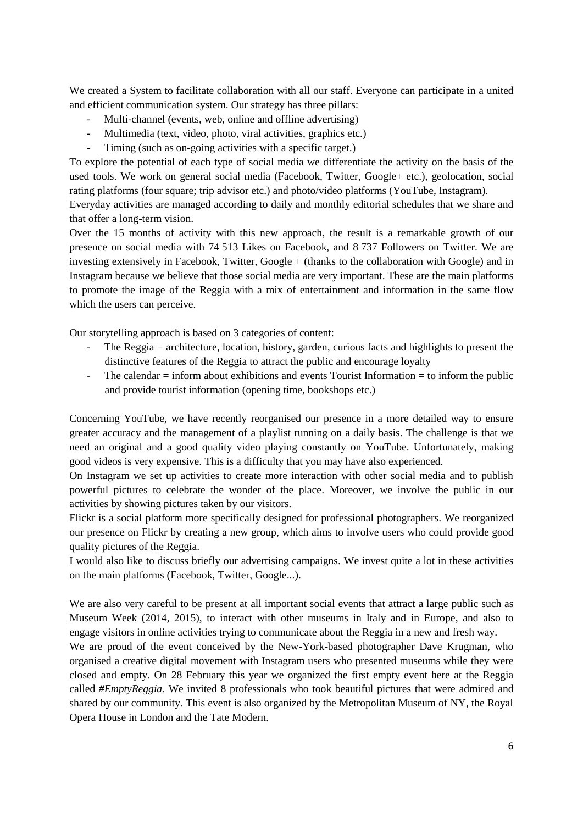We created a System to facilitate collaboration with all our staff. Everyone can participate in a united and efficient communication system. Our strategy has three pillars:

- Multi-channel (events, web, online and offline advertising)
- Multimedia (text, video, photo, viral activities, graphics etc.)
- Timing (such as on-going activities with a specific target.)

To explore the potential of each type of social media we differentiate the activity on the basis of the used tools. We work on general social media (Facebook, Twitter, Google+ etc.), geolocation, social rating platforms (four square; trip advisor etc.) and photo/video platforms (YouTube, Instagram).

Everyday activities are managed according to daily and monthly editorial schedules that we share and that offer a long-term vision.

Over the 15 months of activity with this new approach, the result is a remarkable growth of our presence on social media with 74 513 Likes on Facebook, and 8 737 Followers on Twitter. We are investing extensively in Facebook, Twitter, Google + (thanks to the collaboration with Google) and in Instagram because we believe that those social media are very important. These are the main platforms to promote the image of the Reggia with a mix of entertainment and information in the same flow which the users can perceive.

Our storytelling approach is based on 3 categories of content:

- The Reggia = architecture, location, history, garden, curious facts and highlights to present the distinctive features of the Reggia to attract the public and encourage loyalty
- The calendar = inform about exhibitions and events Tourist Information = to inform the public and provide tourist information (opening time, bookshops etc.)

Concerning YouTube, we have recently reorganised our presence in a more detailed way to ensure greater accuracy and the management of a playlist running on a daily basis. The challenge is that we need an original and a good quality video playing constantly on YouTube. Unfortunately, making good videos is very expensive. This is a difficulty that you may have also experienced.

On Instagram we set up activities to create more interaction with other social media and to publish powerful pictures to celebrate the wonder of the place. Moreover, we involve the public in our activities by showing pictures taken by our visitors.

Flickr is a social platform more specifically designed for professional photographers. We reorganized our presence on Flickr by creating a new group, which aims to involve users who could provide good quality pictures of the Reggia.

I would also like to discuss briefly our advertising campaigns. We invest quite a lot in these activities on the main platforms (Facebook, Twitter, Google...).

We are also very careful to be present at all important social events that attract a large public such as Museum Week (2014, 2015), to interact with other museums in Italy and in Europe, and also to engage visitors in online activities trying to communicate about the Reggia in a new and fresh way.

We are proud of the event conceived by the New-York-based photographer Dave Krugman, who organised a creative digital movement with Instagram users who presented museums while they were closed and empty. On 28 February this year we organized the first empty event here at the Reggia called *#EmptyReggia.* We invited 8 professionals who took beautiful pictures that were admired and shared by our community. This event is also organized by the Metropolitan Museum of NY, the Royal Opera House in London and the Tate Modern.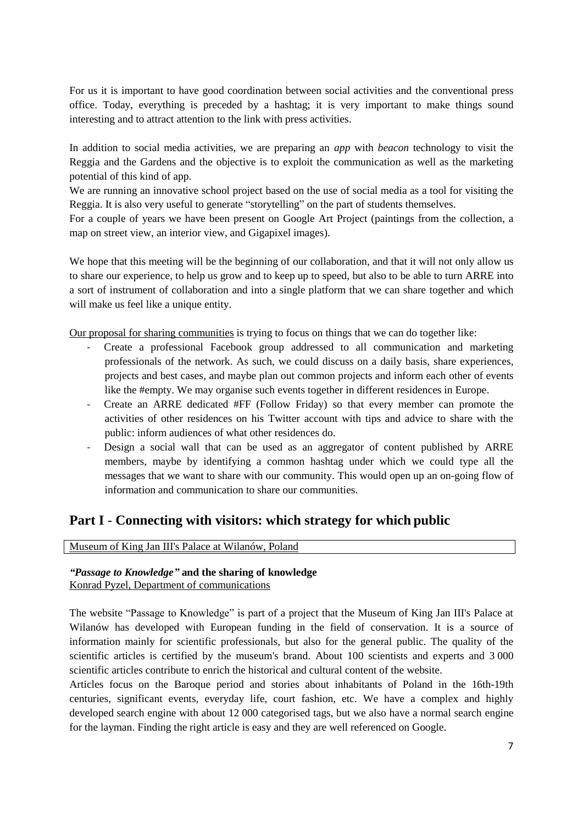For us it is important to have good coordination between social activities and the conventional press office. Today, everything is preceded by a hashtag; it is very important to make things sound interesting and to attract attention to the link with press activities.

In addition to social media activities, we are preparing an *app* with *beacon* technology to visit the Reggia and the Gardens and the objective is to exploit the communication as well as the marketing potential of this kind of app.

We are running an innovative school project based on the use of social media as a tool for visiting the Reggia. It is also very useful to generate "storytelling" on the part of students themselves.

For a couple of years we have been present on Google Art Project (paintings from the collection, a map on street view, an interior view, and Gigapixel images).

We hope that this meeting will be the beginning of our collaboration, and that it will not only allow us to share our experience, to help us grow and to keep up to speed, but also to be able to turn ARRE into a sort of instrument of collaboration and into a single platform that we can share together and which will make us feel like a unique entity.

Our proposal for sharing communities is trying to focus on things that we can do together like:

- Create a professional Facebook group addressed to all communication and marketing professionals of the network. As such, we could discuss on a daily basis, share experiences, projects and best cases, and maybe plan out common projects and inform each other of events like the #empty. We may organise such events together in different residences in Europe.
- Create an ARRE dedicated #FF (Follow Friday) so that every member can promote the activities of other residences on his Twitter account with tips and advice to share with the public: inform audiences of what other residences do.
- Design a social wall that can be used as an aggregator of content published by ARRE members, maybe by identifying a common hashtag under which we could type all the messages that we want to share with our community. This would open up an on-going flow of information and communication to share our communities.

# **Part I** - **Connecting with visitors: which strategy for which public**

Museum of King Jan III's Palace at Wilanów, Poland

#### *"Passage to Knowledge"* **and the sharing of knowledge** Konrad Pyzel, Department of communications

The website "Passage to Knowledge" is part of a project that the Museum of King Jan III's Palace at Wilanów has developed with European funding in the field of conservation. It is a source of information mainly for scientific professionals, but also for the general public. The quality of the scientific articles is certified by the museum's brand. About 100 scientists and experts and 3 000 scientific articles contribute to enrich the historical and cultural content of the website.

Articles focus on the Baroque period and stories about inhabitants of Poland in the 16th-19th centuries, significant events, everyday life, court fashion, etc. We have a complex and highly developed search engine with about 12 000 categorised tags, but we also have a normal search engine for the layman. Finding the right article is easy and they are well referenced on Google.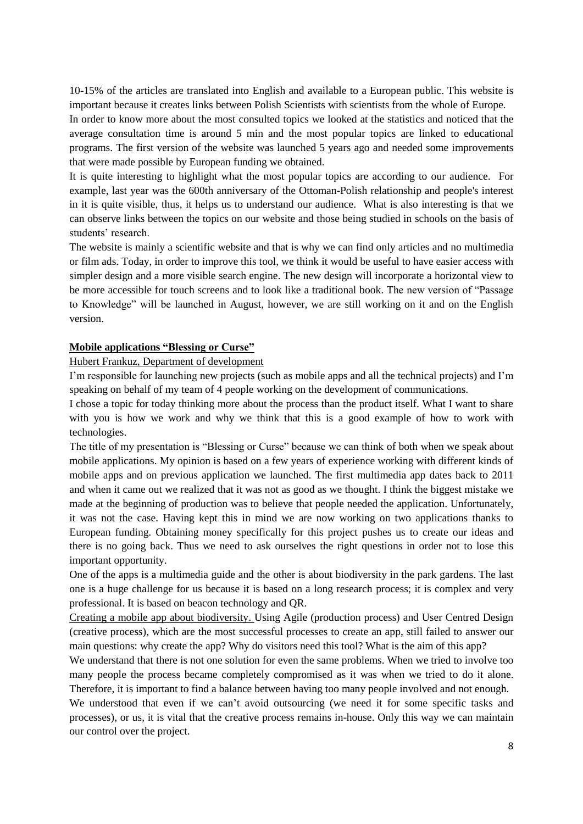10-15% of the articles are translated into English and available to a European public. This website is important because it creates links between Polish Scientists with scientists from the whole of Europe.

In order to know more about the most consulted topics we looked at the statistics and noticed that the average consultation time is around 5 min and the most popular topics are linked to educational programs. The first version of the website was launched 5 years ago and needed some improvements that were made possible by European funding we obtained.

It is quite interesting to highlight what the most popular topics are according to our audience. For example, last year was the 600th anniversary of the Ottoman-Polish relationship and people's interest in it is quite visible, thus, it helps us to understand our audience. What is also interesting is that we can observe links between the topics on our website and those being studied in schools on the basis of students' research.

The website is mainly a scientific website and that is why we can find only articles and no multimedia or film ads. Today, in order to improve this tool, we think it would be useful to have easier access with simpler design and a more visible search engine. The new design will incorporate a horizontal view to be more accessible for touch screens and to look like a traditional book. The new version of "Passage to Knowledge" will be launched in August, however, we are still working on it and on the English version.

## **Mobile applications "Blessing or Curse"**

#### Hubert Frankuz, Department of development

I'm responsible for launching new projects (such as mobile apps and all the technical projects) and I'm speaking on behalf of my team of 4 people working on the development of communications.

I chose a topic for today thinking more about the process than the product itself. What I want to share with you is how we work and why we think that this is a good example of how to work with technologies.

The title of my presentation is "Blessing or Curse" because we can think of both when we speak about mobile applications. My opinion is based on a few years of experience working with different kinds of mobile apps and on previous application we launched. The first multimedia app dates back to 2011 and when it came out we realized that it was not as good as we thought. I think the biggest mistake we made at the beginning of production was to believe that people needed the application. Unfortunately, it was not the case. Having kept this in mind we are now working on two applications thanks to European funding. Obtaining money specifically for this project pushes us to create our ideas and there is no going back. Thus we need to ask ourselves the right questions in order not to lose this important opportunity.

One of the apps is a multimedia guide and the other is about biodiversity in the park gardens. The last one is a huge challenge for us because it is based on a long research process; it is complex and very professional. It is based on beacon technology and QR.

Creating a mobile app about biodiversity. Using Agile (production process) and User Centred Design (creative process), which are the most successful processes to create an app, still failed to answer our main questions: why create the app? Why do visitors need this tool? What is the aim of this app?

We understand that there is not one solution for even the same problems. When we tried to involve too many people the process became completely compromised as it was when we tried to do it alone. Therefore, it is important to find a balance between having too many people involved and not enough.

We understood that even if we can't avoid outsourcing (we need it for some specific tasks and processes), or us, it is vital that the creative process remains in-house. Only this way we can maintain our control over the project.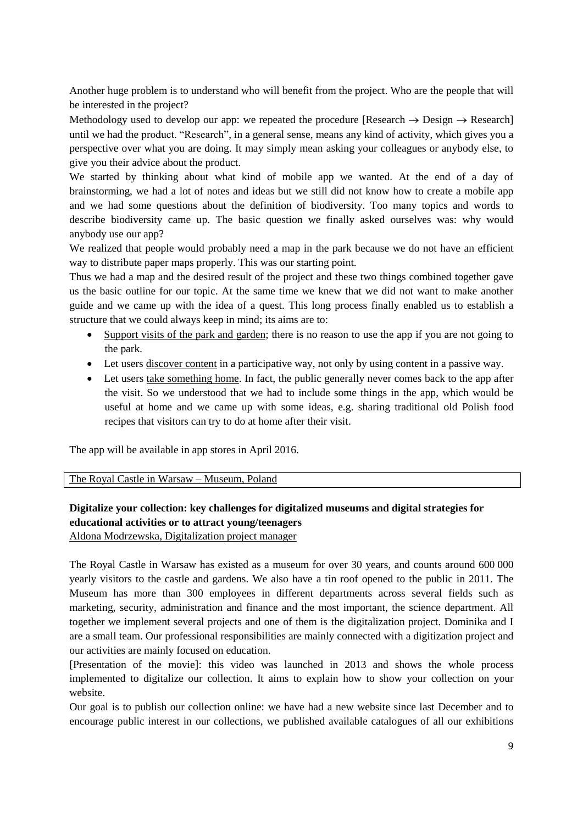Another huge problem is to understand who will benefit from the project. Who are the people that will be interested in the project?

Methodology used to develop our app: we repeated the procedure [Research  $\rightarrow$  Design  $\rightarrow$  Research] until we had the product. "Research", in a general sense, means any kind of activity, which gives you a perspective over what you are doing. It may simply mean asking your colleagues or anybody else, to give you their advice about the product.

We started by thinking about what kind of mobile app we wanted. At the end of a day of brainstorming, we had a lot of notes and ideas but we still did not know how to create a mobile app and we had some questions about the definition of biodiversity. Too many topics and words to describe biodiversity came up. The basic question we finally asked ourselves was: why would anybody use our app?

We realized that people would probably need a map in the park because we do not have an efficient way to distribute paper maps properly. This was our starting point.

Thus we had a map and the desired result of the project and these two things combined together gave us the basic outline for our topic. At the same time we knew that we did not want to make another guide and we came up with the idea of a quest. This long process finally enabled us to establish a structure that we could always keep in mind; its aims are to:

- Support visits of the park and garden; there is no reason to use the app if you are not going to the park.
- Let users discover content in a participative way, not only by using content in a passive way.
- Let users take something home. In fact, the public generally never comes back to the app after the visit. So we understood that we had to include some things in the app, which would be useful at home and we came up with some ideas, e.g. sharing traditional old Polish food recipes that visitors can try to do at home after their visit.

The app will be available in app stores in April 2016.

The Royal Castle in Warsaw – Museum, Poland

# **Digitalize your collection: key challenges for digitalized museums and digital strategies for educational activities or to attract young/teenagers**

Aldona Modrzewska, Digitalization project manager

The Royal Castle in Warsaw has existed as a museum for over 30 years, and counts around 600 000 yearly visitors to the castle and gardens. We also have a tin roof opened to the public in 2011. The Museum has more than 300 employees in different departments across several fields such as marketing, security, administration and finance and the most important, the science department. All together we implement several projects and one of them is the digitalization project. Dominika and I are a small team. Our professional responsibilities are mainly connected with a digitization project and our activities are mainly focused on education.

[Presentation of the movie]: this video was launched in 2013 and shows the whole process implemented to digitalize our collection. It aims to explain how to show your collection on your website.

Our goal is to publish our collection online: we have had a new website since last December and to encourage public interest in our collections, we published available catalogues of all our exhibitions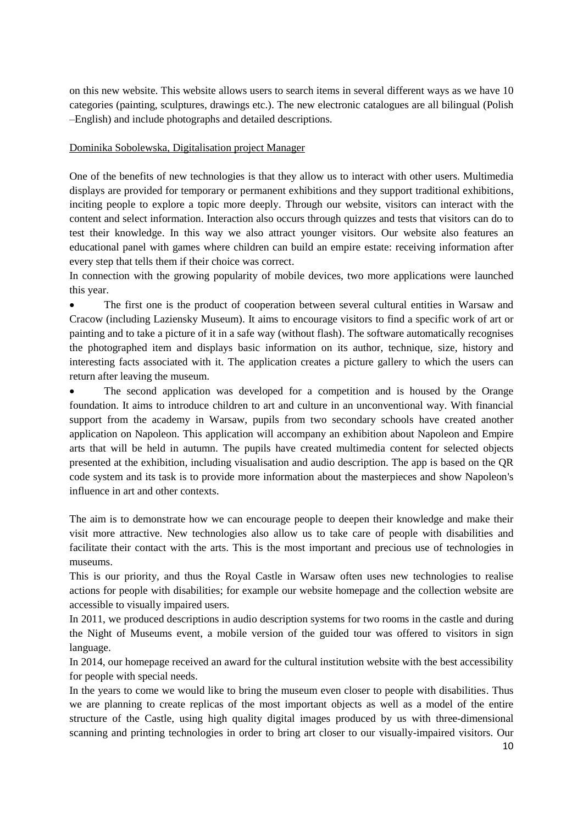on this new website. This website allows users to search items in several different ways as we have 10 categories (painting, sculptures, drawings etc.). The new electronic catalogues are all bilingual (Polish –English) and include photographs and detailed descriptions.

## Dominika Sobolewska, Digitalisation project Manager

One of the benefits of new technologies is that they allow us to interact with other users. Multimedia displays are provided for temporary or permanent exhibitions and they support traditional exhibitions, inciting people to explore a topic more deeply. Through our website, visitors can interact with the content and select information. Interaction also occurs through quizzes and tests that visitors can do to test their knowledge. In this way we also attract younger visitors. Our website also features an educational panel with games where children can build an empire estate: receiving information after every step that tells them if their choice was correct.

In connection with the growing popularity of mobile devices, two more applications were launched this year.

 The first one is the product of cooperation between several cultural entities in Warsaw and Cracow (including Laziensky Museum). It aims to encourage visitors to find a specific work of art or painting and to take a picture of it in a safe way (without flash). The software automatically recognises the photographed item and displays basic information on its author, technique, size, history and interesting facts associated with it. The application creates a picture gallery to which the users can return after leaving the museum.

 The second application was developed for a competition and is housed by the Orange foundation. It aims to introduce children to art and culture in an unconventional way. With financial support from the academy in Warsaw, pupils from two secondary schools have created another application on Napoleon. This application will accompany an exhibition about Napoleon and Empire arts that will be held in autumn. The pupils have created multimedia content for selected objects presented at the exhibition, including visualisation and audio description. The app is based on the QR code system and its task is to provide more information about the masterpieces and show Napoleon's influence in art and other contexts.

The aim is to demonstrate how we can encourage people to deepen their knowledge and make their visit more attractive. New technologies also allow us to take care of people with disabilities and facilitate their contact with the arts. This is the most important and precious use of technologies in museums.

This is our priority, and thus the Royal Castle in Warsaw often uses new technologies to realise actions for people with disabilities; for example our website homepage and the collection website are accessible to visually impaired users.

In 2011, we produced descriptions in audio description systems for two rooms in the castle and during the Night of Museums event, a mobile version of the guided tour was offered to visitors in sign language.

In 2014, our homepage received an award for the cultural institution website with the best accessibility for people with special needs.

In the years to come we would like to bring the museum even closer to people with disabilities. Thus we are planning to create replicas of the most important objects as well as a model of the entire structure of the Castle, using high quality digital images produced by us with three-dimensional scanning and printing technologies in order to bring art closer to our visually-impaired visitors. Our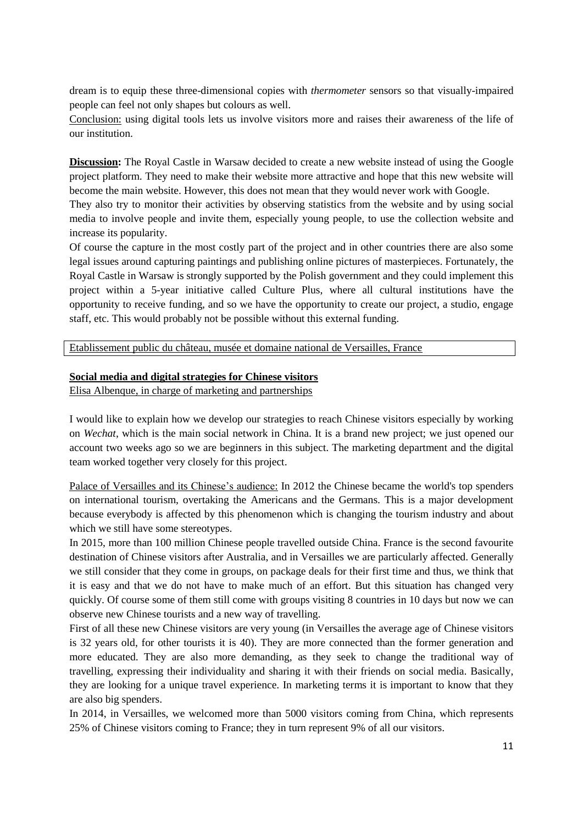dream is to equip these three-dimensional copies with *thermometer* sensors so that visually-impaired people can feel not only shapes but colours as well.

Conclusion: using digital tools lets us involve visitors more and raises their awareness of the life of our institution.

**Discussion:** The Royal Castle in Warsaw decided to create a new website instead of using the Google project platform. They need to make their website more attractive and hope that this new website will become the main website. However, this does not mean that they would never work with Google.

They also try to monitor their activities by observing statistics from the website and by using social media to involve people and invite them, especially young people, to use the collection website and increase its popularity.

Of course the capture in the most costly part of the project and in other countries there are also some legal issues around capturing paintings and publishing online pictures of masterpieces. Fortunately, the Royal Castle in Warsaw is strongly supported by the Polish government and they could implement this project within a 5-year initiative called Culture Plus, where all cultural institutions have the opportunity to receive funding, and so we have the opportunity to create our project, a studio, engage staff, etc. This would probably not be possible without this external funding.

Etablissement public du château, musée et domaine national de Versailles, France

#### **Social media and digital strategies for Chinese visitors**

Elisa Albenque, in charge of marketing and partnerships

I would like to explain how we develop our strategies to reach Chinese visitors especially by working on *Wechat*, which is the main social network in China. It is a brand new project; we just opened our account two weeks ago so we are beginners in this subject. The marketing department and the digital team worked together very closely for this project.

Palace of Versailles and its Chinese's audience: In 2012 the Chinese became the world's top spenders on international tourism, overtaking the Americans and the Germans. This is a major development because everybody is affected by this phenomenon which is changing the tourism industry and about which we still have some stereotypes.

In 2015, more than 100 million Chinese people travelled outside China. France is the second favourite destination of Chinese visitors after Australia, and in Versailles we are particularly affected. Generally we still consider that they come in groups, on package deals for their first time and thus, we think that it is easy and that we do not have to make much of an effort. But this situation has changed very quickly. Of course some of them still come with groups visiting 8 countries in 10 days but now we can observe new Chinese tourists and a new way of travelling.

First of all these new Chinese visitors are very young (in Versailles the average age of Chinese visitors is 32 years old, for other tourists it is 40). They are more connected than the former generation and more educated. They are also more demanding, as they seek to change the traditional way of travelling, expressing their individuality and sharing it with their friends on social media. Basically, they are looking for a unique travel experience. In marketing terms it is important to know that they are also big spenders.

In 2014, in Versailles, we welcomed more than 5000 visitors coming from China, which represents 25% of Chinese visitors coming to France; they in turn represent 9% of all our visitors.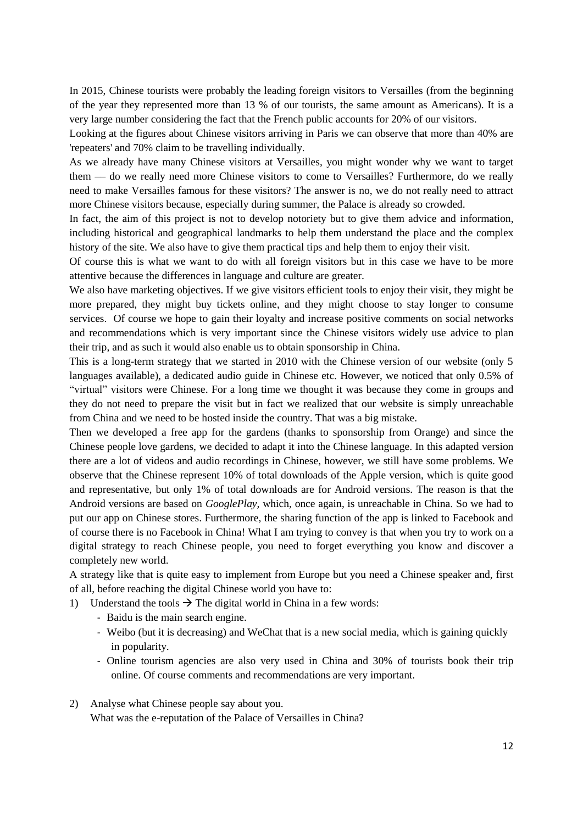In 2015, Chinese tourists were probably the leading foreign visitors to Versailles (from the beginning of the year they represented more than 13 % of our tourists, the same amount as Americans). It is a very large number considering the fact that the French public accounts for 20% of our visitors.

Looking at the figures about Chinese visitors arriving in Paris we can observe that more than 40% are 'repeaters' and 70% claim to be travelling individually.

As we already have many Chinese visitors at Versailles, you might wonder why we want to target them –– do we really need more Chinese visitors to come to Versailles? Furthermore, do we really need to make Versailles famous for these visitors? The answer is no, we do not really need to attract more Chinese visitors because, especially during summer, the Palace is already so crowded.

In fact, the aim of this project is not to develop notoriety but to give them advice and information, including historical and geographical landmarks to help them understand the place and the complex history of the site. We also have to give them practical tips and help them to enjoy their visit.

Of course this is what we want to do with all foreign visitors but in this case we have to be more attentive because the differences in language and culture are greater.

We also have marketing objectives. If we give visitors efficient tools to enjoy their visit, they might be more prepared, they might buy tickets online, and they might choose to stay longer to consume services. Of course we hope to gain their loyalty and increase positive comments on social networks and recommendations which is very important since the Chinese visitors widely use advice to plan their trip, and as such it would also enable us to obtain sponsorship in China.

This is a long-term strategy that we started in 2010 with the Chinese version of our website (only 5 languages available), a dedicated audio guide in Chinese etc. However, we noticed that only 0.5% of "virtual" visitors were Chinese. For a long time we thought it was because they come in groups and they do not need to prepare the visit but in fact we realized that our website is simply unreachable from China and we need to be hosted inside the country. That was a big mistake.

Then we developed a free app for the gardens (thanks to sponsorship from Orange) and since the Chinese people love gardens, we decided to adapt it into the Chinese language. In this adapted version there are a lot of videos and audio recordings in Chinese, however, we still have some problems. We observe that the Chinese represent 10% of total downloads of the Apple version, which is quite good and representative, but only 1% of total downloads are for Android versions. The reason is that the Android versions are based on *GooglePlay,* which, once again, is unreachable in China. So we had to put our app on Chinese stores. Furthermore, the sharing function of the app is linked to Facebook and of course there is no Facebook in China! What I am trying to convey is that when you try to work on a digital strategy to reach Chinese people, you need to forget everything you know and discover a completely new world.

A strategy like that is quite easy to implement from Europe but you need a Chinese speaker and, first of all, before reaching the digital Chinese world you have to:

- 1) Understand the tools  $\rightarrow$  The digital world in China in a few words:
	- Baidu is the main search engine.
	- Weibo (but it is decreasing) and WeChat that is a new social media, which is gaining quickly in popularity.
	- Online tourism agencies are also very used in China and 30% of tourists book their trip online. Of course comments and recommendations are very important.
- 2) Analyse what Chinese people say about you. What was the e-reputation of the Palace of Versailles in China?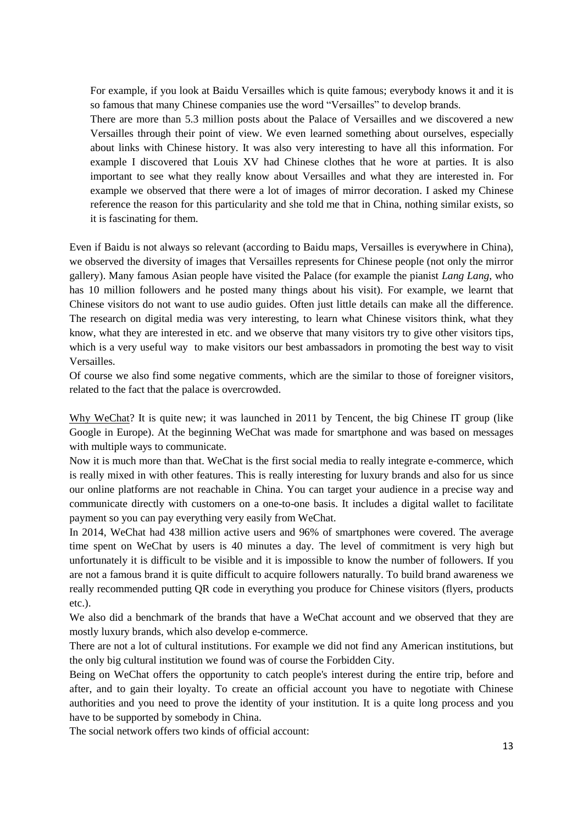For example, if you look at Baidu Versailles which is quite famous; everybody knows it and it is so famous that many Chinese companies use the word "Versailles" to develop brands.

There are more than 5.3 million posts about the Palace of Versailles and we discovered a new Versailles through their point of view. We even learned something about ourselves, especially about links with Chinese history. It was also very interesting to have all this information. For example I discovered that Louis XV had Chinese clothes that he wore at parties. It is also important to see what they really know about Versailles and what they are interested in. For example we observed that there were a lot of images of mirror decoration. I asked my Chinese reference the reason for this particularity and she told me that in China, nothing similar exists, so it is fascinating for them.

Even if Baidu is not always so relevant (according to Baidu maps, Versailles is everywhere in China), we observed the diversity of images that Versailles represents for Chinese people (not only the mirror gallery). Many famous Asian people have visited the Palace (for example the pianist *Lang Lang*, who has 10 million followers and he posted many things about his visit). For example, we learnt that Chinese visitors do not want to use audio guides. Often just little details can make all the difference. The research on digital media was very interesting, to learn what Chinese visitors think, what they know, what they are interested in etc. and we observe that many visitors try to give other visitors tips, which is a very useful way to make visitors our best ambassadors in promoting the best way to visit Versailles.

Of course we also find some negative comments, which are the similar to those of foreigner visitors, related to the fact that the palace is overcrowded.

Why WeChat? It is quite new; it was launched in 2011 by Tencent, the big Chinese IT group (like Google in Europe). At the beginning WeChat was made for smartphone and was based on messages with multiple ways to communicate.

Now it is much more than that. WeChat is the first social media to really integrate e-commerce, which is really mixed in with other features. This is really interesting for luxury brands and also for us since our online platforms are not reachable in China. You can target your audience in a precise way and communicate directly with customers on a one-to-one basis. It includes a digital wallet to facilitate payment so you can pay everything very easily from WeChat.

In 2014, WeChat had 438 million active users and 96% of smartphones were covered. The average time spent on WeChat by users is 40 minutes a day. The level of commitment is very high but unfortunately it is difficult to be visible and it is impossible to know the number of followers. If you are not a famous brand it is quite difficult to acquire followers naturally. To build brand awareness we really recommended putting QR code in everything you produce for Chinese visitors (flyers, products etc.).

We also did a benchmark of the brands that have a WeChat account and we observed that they are mostly luxury brands, which also develop e-commerce.

There are not a lot of cultural institutions. For example we did not find any American institutions, but the only big cultural institution we found was of course the Forbidden City.

Being on WeChat offers the opportunity to catch people's interest during the entire trip, before and after, and to gain their loyalty. To create an official account you have to negotiate with Chinese authorities and you need to prove the identity of your institution. It is a quite long process and you have to be supported by somebody in China.

The social network offers two kinds of official account: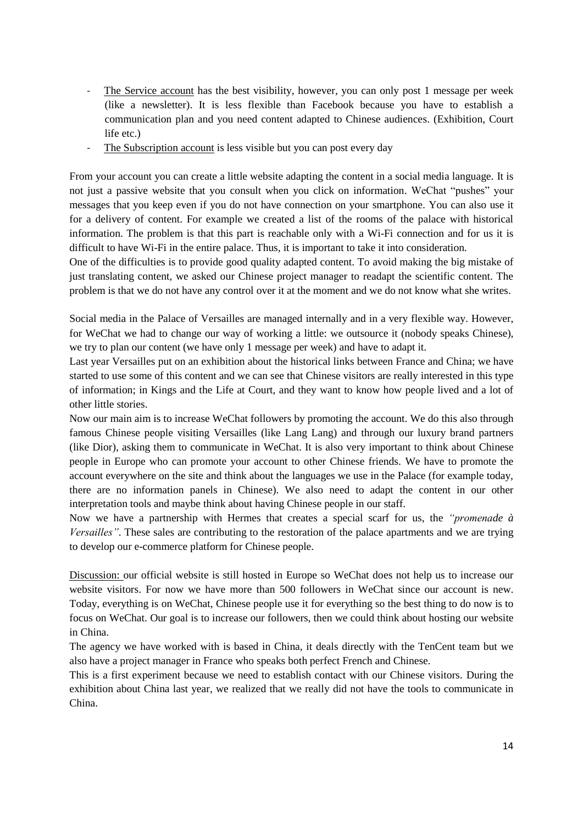- The Service account has the best visibility, however, you can only post 1 message per week (like a newsletter). It is less flexible than Facebook because you have to establish a communication plan and you need content adapted to Chinese audiences. (Exhibition, Court life etc.)
- The Subscription account is less visible but you can post every day

From your account you can create a little website adapting the content in a social media language. It is not just a passive website that you consult when you click on information. WeChat "pushes" your messages that you keep even if you do not have connection on your smartphone. You can also use it for a delivery of content. For example we created a list of the rooms of the palace with historical information. The problem is that this part is reachable only with a Wi-Fi connection and for us it is difficult to have Wi-Fi in the entire palace. Thus, it is important to take it into consideration.

One of the difficulties is to provide good quality adapted content. To avoid making the big mistake of just translating content, we asked our Chinese project manager to readapt the scientific content. The problem is that we do not have any control over it at the moment and we do not know what she writes.

Social media in the Palace of Versailles are managed internally and in a very flexible way. However, for WeChat we had to change our way of working a little: we outsource it (nobody speaks Chinese), we try to plan our content (we have only 1 message per week) and have to adapt it.

Last year Versailles put on an exhibition about the historical links between France and China; we have started to use some of this content and we can see that Chinese visitors are really interested in this type of information; in Kings and the Life at Court, and they want to know how people lived and a lot of other little stories.

Now our main aim is to increase WeChat followers by promoting the account. We do this also through famous Chinese people visiting Versailles (like Lang Lang) and through our luxury brand partners (like Dior), asking them to communicate in WeChat. It is also very important to think about Chinese people in Europe who can promote your account to other Chinese friends. We have to promote the account everywhere on the site and think about the languages we use in the Palace (for example today, there are no information panels in Chinese). We also need to adapt the content in our other interpretation tools and maybe think about having Chinese people in our staff.

Now we have a partnership with Hermes that creates a special scarf for us, the *"promenade à Versailles"*. These sales are contributing to the restoration of the palace apartments and we are trying to develop our e-commerce platform for Chinese people.

Discussion: our official website is still hosted in Europe so WeChat does not help us to increase our website visitors. For now we have more than 500 followers in WeChat since our account is new. Today, everything is on WeChat, Chinese people use it for everything so the best thing to do now is to focus on WeChat. Our goal is to increase our followers, then we could think about hosting our website in China.

The agency we have worked with is based in China, it deals directly with the TenCent team but we also have a project manager in France who speaks both perfect French and Chinese.

This is a first experiment because we need to establish contact with our Chinese visitors. During the exhibition about China last year, we realized that we really did not have the tools to communicate in China.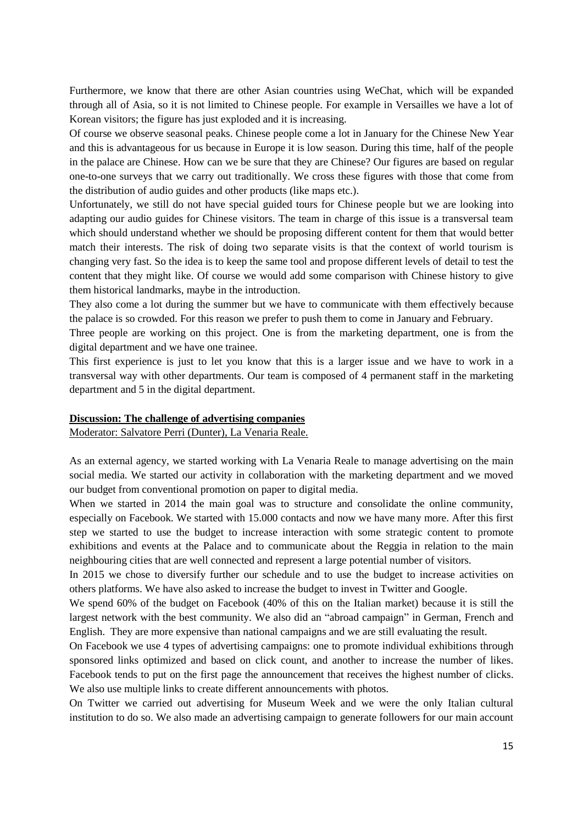Furthermore, we know that there are other Asian countries using WeChat, which will be expanded through all of Asia, so it is not limited to Chinese people. For example in Versailles we have a lot of Korean visitors; the figure has just exploded and it is increasing.

Of course we observe seasonal peaks. Chinese people come a lot in January for the Chinese New Year and this is advantageous for us because in Europe it is low season. During this time, half of the people in the palace are Chinese. How can we be sure that they are Chinese? Our figures are based on regular one-to-one surveys that we carry out traditionally. We cross these figures with those that come from the distribution of audio guides and other products (like maps etc.).

Unfortunately, we still do not have special guided tours for Chinese people but we are looking into adapting our audio guides for Chinese visitors. The team in charge of this issue is a transversal team which should understand whether we should be proposing different content for them that would better match their interests. The risk of doing two separate visits is that the context of world tourism is changing very fast. So the idea is to keep the same tool and propose different levels of detail to test the content that they might like. Of course we would add some comparison with Chinese history to give them historical landmarks, maybe in the introduction.

They also come a lot during the summer but we have to communicate with them effectively because the palace is so crowded. For this reason we prefer to push them to come in January and February.

Three people are working on this project. One is from the marketing department, one is from the digital department and we have one trainee.

This first experience is just to let you know that this is a larger issue and we have to work in a transversal way with other departments. Our team is composed of 4 permanent staff in the marketing department and 5 in the digital department.

#### **Discussion: The challenge of advertising companies**

Moderator: Salvatore Perri (Dunter), La Venaria Reale.

As an external agency, we started working with La Venaria Reale to manage advertising on the main social media. We started our activity in collaboration with the marketing department and we moved our budget from conventional promotion on paper to digital media.

When we started in 2014 the main goal was to structure and consolidate the online community, especially on Facebook. We started with 15.000 contacts and now we have many more. After this first step we started to use the budget to increase interaction with some strategic content to promote exhibitions and events at the Palace and to communicate about the Reggia in relation to the main neighbouring cities that are well connected and represent a large potential number of visitors.

In 2015 we chose to diversify further our schedule and to use the budget to increase activities on others platforms. We have also asked to increase the budget to invest in Twitter and Google.

We spend 60% of the budget on Facebook (40% of this on the Italian market) because it is still the largest network with the best community. We also did an "abroad campaign" in German, French and English. They are more expensive than national campaigns and we are still evaluating the result.

On Facebook we use 4 types of advertising campaigns: one to promote individual exhibitions through sponsored links optimized and based on click count, and another to increase the number of likes. Facebook tends to put on the first page the announcement that receives the highest number of clicks. We also use multiple links to create different announcements with photos.

On Twitter we carried out advertising for Museum Week and we were the only Italian cultural institution to do so. We also made an advertising campaign to generate followers for our main account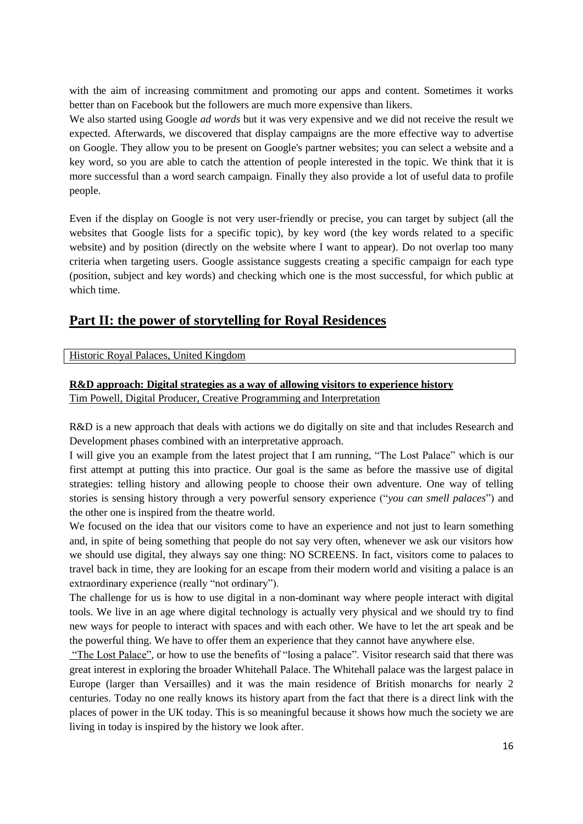with the aim of increasing commitment and promoting our apps and content. Sometimes it works better than on Facebook but the followers are much more expensive than likers.

We also started using Google *ad words* but it was very expensive and we did not receive the result we expected. Afterwards, we discovered that display campaigns are the more effective way to advertise on Google. They allow you to be present on Google's partner websites; you can select a website and a key word, so you are able to catch the attention of people interested in the topic. We think that it is more successful than a word search campaign. Finally they also provide a lot of useful data to profile people.

Even if the display on Google is not very user-friendly or precise, you can target by subject (all the websites that Google lists for a specific topic), by key word (the key words related to a specific website) and by position (directly on the website where I want to appear). Do not overlap too many criteria when targeting users. Google assistance suggests creating a specific campaign for each type (position, subject and key words) and checking which one is the most successful, for which public at which time.

# **Part II: the power of storytelling for Royal Residences**

#### Historic Royal Palaces, United Kingdom

#### **R&D approach: Digital strategies as a way of allowing visitors to experience history**

Tim Powell, Digital Producer, Creative Programming and Interpretation

R&D is a new approach that deals with actions we do digitally on site and that includes Research and Development phases combined with an interpretative approach.

I will give you an example from the latest project that I am running, "The Lost Palace" which is our first attempt at putting this into practice. Our goal is the same as before the massive use of digital strategies: telling history and allowing people to choose their own adventure. One way of telling stories is sensing history through a very powerful sensory experience ("*you can smell palaces*") and the other one is inspired from the theatre world.

We focused on the idea that our visitors come to have an experience and not just to learn something and, in spite of being something that people do not say very often, whenever we ask our visitors how we should use digital, they always say one thing: NO SCREENS. In fact, visitors come to palaces to travel back in time, they are looking for an escape from their modern world and visiting a palace is an extraordinary experience (really "not ordinary").

The challenge for us is how to use digital in a non-dominant way where people interact with digital tools. We live in an age where digital technology is actually very physical and we should try to find new ways for people to interact with spaces and with each other. We have to let the art speak and be the powerful thing. We have to offer them an experience that they cannot have anywhere else.

"The Lost Palace", or how to use the benefits of "losing a palace". Visitor research said that there was great interest in exploring the broader Whitehall Palace. The Whitehall palace was the largest palace in Europe (larger than Versailles) and it was the main residence of British monarchs for nearly 2 centuries. Today no one really knows its history apart from the fact that there is a direct link with the places of power in the UK today. This is so meaningful because it shows how much the society we are living in today is inspired by the history we look after.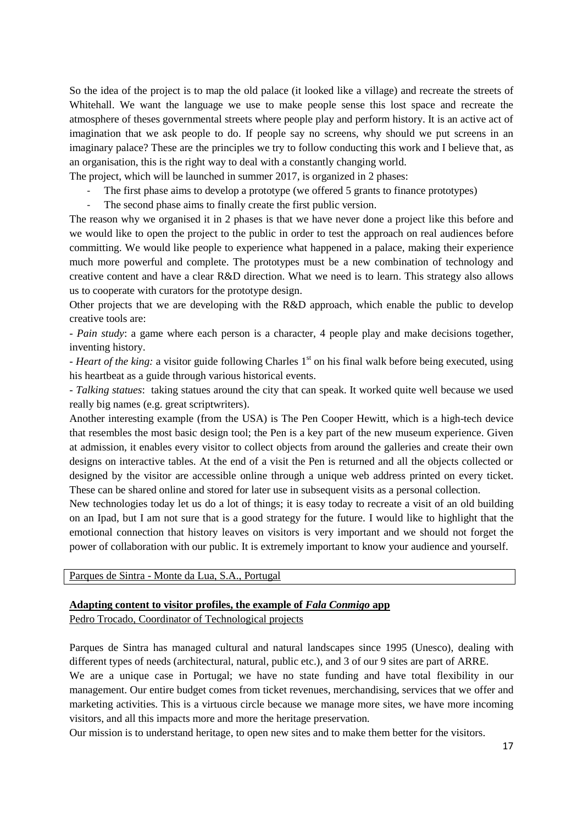So the idea of the project is to map the old palace (it looked like a village) and recreate the streets of Whitehall. We want the language we use to make people sense this lost space and recreate the atmosphere of theses governmental streets where people play and perform history. It is an active act of imagination that we ask people to do. If people say no screens, why should we put screens in an imaginary palace? These are the principles we try to follow conducting this work and I believe that, as an organisation, this is the right way to deal with a constantly changing world.

The project, which will be launched in summer 2017, is organized in 2 phases:

- The first phase aims to develop a prototype (we offered 5 grants to finance prototypes)
- The second phase aims to finally create the first public version.

The reason why we organised it in 2 phases is that we have never done a project like this before and we would like to open the project to the public in order to test the approach on real audiences before committing. We would like people to experience what happened in a palace, making their experience much more powerful and complete. The prototypes must be a new combination of technology and creative content and have a clear R&D direction. What we need is to learn. This strategy also allows us to cooperate with curators for the prototype design.

Other projects that we are developing with the R&D approach, which enable the public to develop creative tools are:

- *Pain study*: a game where each person is a character, 4 people play and make decisions together, inventing history.

*- Heart of the king:* a visitor guide following Charles 1st on his final walk before being executed, using his heartbeat as a guide through various historical events.

- *Talking statues*: taking statues around the city that can speak. It worked quite well because we used really big names (e.g. great scriptwriters).

Another interesting example (from the USA) is The Pen Cooper Hewitt, which is a high-tech device that resembles the most basic design tool; the Pen is a key part of the new museum experience. Given at admission, it enables every visitor to collect objects from around the galleries and create their own designs on interactive tables. At the end of a visit the Pen is returned and all the objects collected or designed by the visitor are accessible online through a unique web address printed on every ticket. These can be shared online and stored for later use in subsequent visits as a personal collection.

New technologies today let us do a lot of things; it is easy today to recreate a visit of an old building on an Ipad, but I am not sure that is a good strategy for the future. I would like to highlight that the emotional connection that history leaves on visitors is very important and we should not forget the power of collaboration with our public. It is extremely important to know your audience and yourself.

Parques de Sintra - Monte da Lua, S.A., Portugal

# **Adapting content to visitor profiles, the example of** *Fala Conmigo* **app**

Pedro Trocado, Coordinator of Technological projects

Parques de Sintra has managed cultural and natural landscapes since 1995 (Unesco), dealing with different types of needs (architectural, natural, public etc.), and 3 of our 9 sites are part of ARRE.

We are a unique case in Portugal; we have no state funding and have total flexibility in our management. Our entire budget comes from ticket revenues, merchandising, services that we offer and marketing activities. This is a virtuous circle because we manage more sites, we have more incoming visitors, and all this impacts more and more the heritage preservation.

Our mission is to understand heritage, to open new sites and to make them better for the visitors.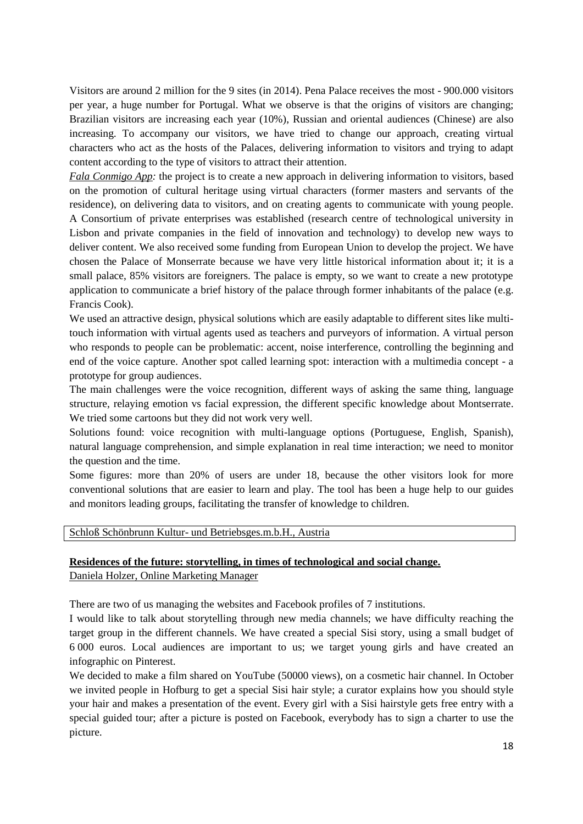Visitors are around 2 million for the 9 sites (in 2014). Pena Palace receives the most - 900.000 visitors per year, a huge number for Portugal. What we observe is that the origins of visitors are changing; Brazilian visitors are increasing each year (10%), Russian and oriental audiences (Chinese) are also increasing. To accompany our visitors, we have tried to change our approach, creating virtual characters who act as the hosts of the Palaces, delivering information to visitors and trying to adapt content according to the type of visitors to attract their attention.

*Fala Conmigo App:* the project is to create a new approach in delivering information to visitors, based on the promotion of cultural heritage using virtual characters (former masters and servants of the residence), on delivering data to visitors, and on creating agents to communicate with young people. A Consortium of private enterprises was established (research centre of technological university in Lisbon and private companies in the field of innovation and technology) to develop new ways to deliver content. We also received some funding from European Union to develop the project. We have chosen the Palace of Monserrate because we have very little historical information about it; it is a small palace, 85% visitors are foreigners. The palace is empty, so we want to create a new prototype application to communicate a brief history of the palace through former inhabitants of the palace (e.g. Francis Cook).

We used an attractive design, physical solutions which are easily adaptable to different sites like multitouch information with virtual agents used as teachers and purveyors of information. A virtual person who responds to people can be problematic: accent, noise interference, controlling the beginning and end of the voice capture. Another spot called learning spot: interaction with a multimedia concept - a prototype for group audiences.

The main challenges were the voice recognition, different ways of asking the same thing, language structure, relaying emotion vs facial expression, the different specific knowledge about Montserrate. We tried some cartoons but they did not work very well.

Solutions found: voice recognition with multi-language options (Portuguese, English, Spanish), natural language comprehension, and simple explanation in real time interaction; we need to monitor the question and the time.

Some figures: more than 20% of users are under 18, because the other visitors look for more conventional solutions that are easier to learn and play. The tool has been a huge help to our guides and monitors leading groups, facilitating the transfer of knowledge to children.

## Schloß Schönbrunn Kultur- und Betriebsges.m.b.H., Austria

## **Residences of the future: storytelling, in times of technological and social change.**

Daniela Holzer, Online Marketing Manager

There are two of us managing the websites and Facebook profiles of 7 institutions.

I would like to talk about storytelling through new media channels; we have difficulty reaching the target group in the different channels. We have created a special Sisi story, using a small budget of 6 000 euros. Local audiences are important to us; we target young girls and have created an infographic on Pinterest.

We decided to make a film shared on YouTube (50000 views), on a cosmetic hair channel. In October we invited people in Hofburg to get a special Sisi hair style; a curator explains how you should style your hair and makes a presentation of the event. Every girl with a Sisi hairstyle gets free entry with a special guided tour; after a picture is posted on Facebook, everybody has to sign a charter to use the picture.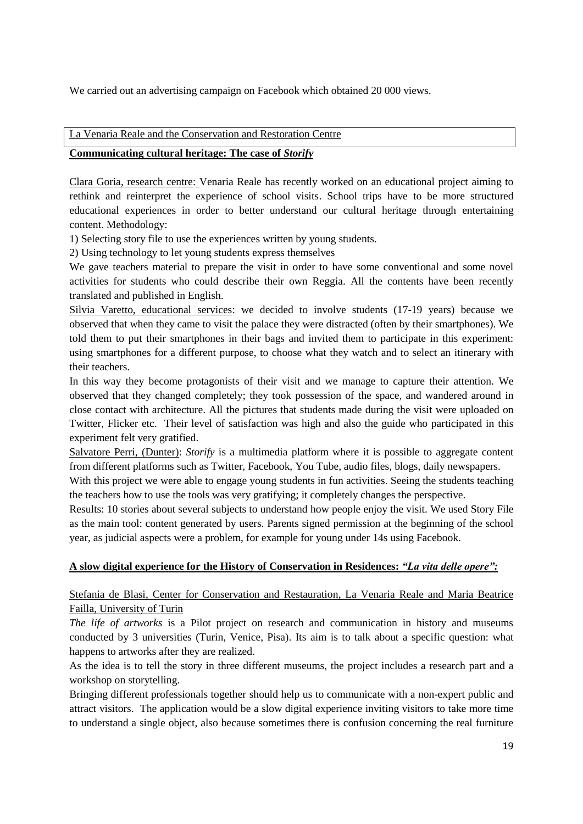We carried out an advertising campaign on Facebook which obtained 20 000 views.

## La Venaria Reale and the Conservation and Restoration Centre

## **Communicating cultural heritage: The case of** *Storify*

Clara Goria, research centre: Venaria Reale has recently worked on an educational project aiming to rethink and reinterpret the experience of school visits. School trips have to be more structured educational experiences in order to better understand our cultural heritage through entertaining content. Methodology:

1) Selecting story file to use the experiences written by young students.

2) Using technology to let young students express themselves

We gave teachers material to prepare the visit in order to have some conventional and some novel activities for students who could describe their own Reggia. All the contents have been recently translated and published in English.

Silvia Varetto, educational services: we decided to involve students (17-19 years) because we observed that when they came to visit the palace they were distracted (often by their smartphones). We told them to put their smartphones in their bags and invited them to participate in this experiment: using smartphones for a different purpose, to choose what they watch and to select an itinerary with their teachers.

In this way they become protagonists of their visit and we manage to capture their attention. We observed that they changed completely; they took possession of the space, and wandered around in close contact with architecture. All the pictures that students made during the visit were uploaded on Twitter, Flicker etc. Their level of satisfaction was high and also the guide who participated in this experiment felt very gratified.

Salvatore Perri, (Dunter): *Storify* is a multimedia platform where it is possible to aggregate content from different platforms such as Twitter, Facebook, You Tube, audio files, blogs, daily newspapers.

With this project we were able to engage young students in fun activities. Seeing the students teaching the teachers how to use the tools was very gratifying; it completely changes the perspective.

Results: 10 stories about several subjects to understand how people enjoy the visit. We used Story File as the main tool: content generated by users. Parents signed permission at the beginning of the school year, as judicial aspects were a problem, for example for young under 14s using Facebook.

# **A slow digital experience for the History of Conservation in Residences:** *"La vita delle opere":*

# Stefania de Blasi, Center for Conservation and Restauration, La Venaria Reale and Maria Beatrice Failla, University of Turin

*The life of artworks* is a Pilot project on research and communication in history and museums conducted by 3 universities (Turin, Venice, Pisa). Its aim is to talk about a specific question: what happens to artworks after they are realized.

As the idea is to tell the story in three different museums, the project includes a research part and a workshop on storytelling.

Bringing different professionals together should help us to communicate with a non-expert public and attract visitors. The application would be a slow digital experience inviting visitors to take more time to understand a single object, also because sometimes there is confusion concerning the real furniture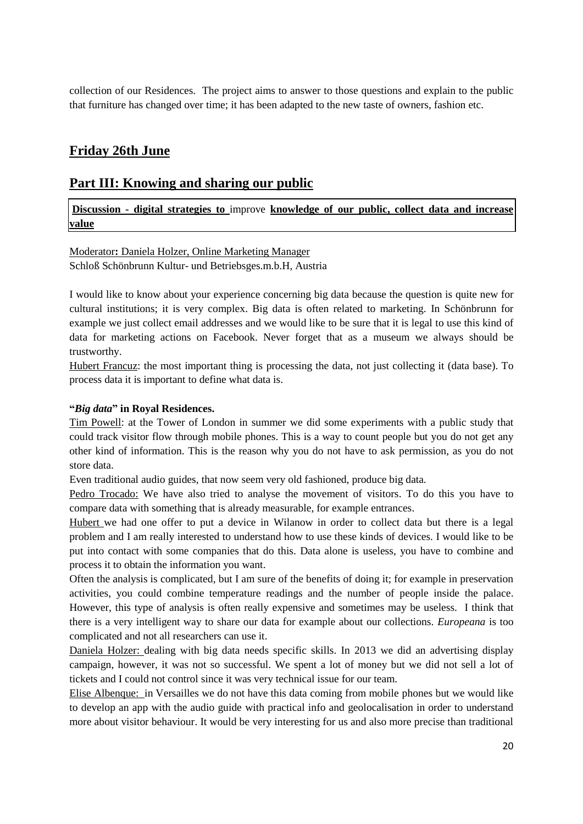collection of our Residences. The project aims to answer to those questions and explain to the public that furniture has changed over time; it has been adapted to the new taste of owners, fashion etc.

# **Friday 26th June**

# **Part III: Knowing and sharing our public**

**Discussion - digital strategies to** improve **knowledge of our public, collect data and increase value**

Moderator**:** Daniela Holzer, Online Marketing Manager Schloß Schönbrunn Kultur- und Betriebsges.m.b.H, Austria

I would like to know about your experience concerning big data because the question is quite new for cultural institutions; it is very complex. Big data is often related to marketing. In Schönbrunn for example we just collect email addresses and we would like to be sure that it is legal to use this kind of data for marketing actions on Facebook. Never forget that as a museum we always should be trustworthy.

Hubert Francuz: the most important thing is processing the data, not just collecting it (data base). To process data it is important to define what data is.

## **"***Big data***" in Royal Residences.**

Tim Powell: at the Tower of London in summer we did some experiments with a public study that could track visitor flow through mobile phones. This is a way to count people but you do not get any other kind of information. This is the reason why you do not have to ask permission, as you do not store data.

Even traditional audio guides, that now seem very old fashioned, produce big data.

Pedro Trocado: We have also tried to analyse the movement of visitors. To do this you have to compare data with something that is already measurable, for example entrances.

Hubert we had one offer to put a device in Wilanow in order to collect data but there is a legal problem and I am really interested to understand how to use these kinds of devices. I would like to be put into contact with some companies that do this. Data alone is useless, you have to combine and process it to obtain the information you want.

Often the analysis is complicated, but I am sure of the benefits of doing it; for example in preservation activities, you could combine temperature readings and the number of people inside the palace. However, this type of analysis is often really expensive and sometimes may be useless. I think that there is a very intelligent way to share our data for example about our collections. *Europeana* is too complicated and not all researchers can use it.

Daniela Holzer: dealing with big data needs specific skills. In 2013 we did an advertising display campaign, however, it was not so successful. We spent a lot of money but we did not sell a lot of tickets and I could not control since it was very technical issue for our team.

Elise Albenque: in Versailles we do not have this data coming from mobile phones but we would like to develop an app with the audio guide with practical info and geolocalisation in order to understand more about visitor behaviour. It would be very interesting for us and also more precise than traditional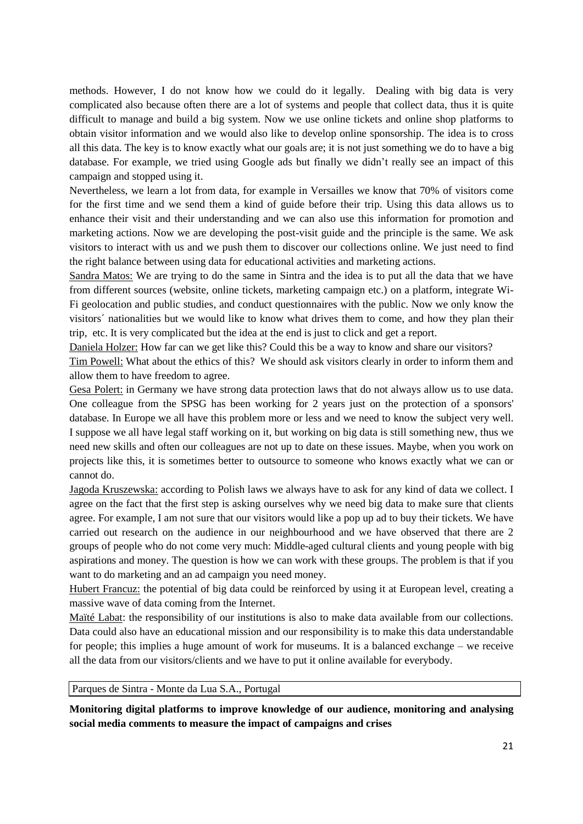methods. However, I do not know how we could do it legally. Dealing with big data is very complicated also because often there are a lot of systems and people that collect data, thus it is quite difficult to manage and build a big system. Now we use online tickets and online shop platforms to obtain visitor information and we would also like to develop online sponsorship. The idea is to cross all this data. The key is to know exactly what our goals are; it is not just something we do to have a big database. For example, we tried using Google ads but finally we didn't really see an impact of this campaign and stopped using it.

Nevertheless, we learn a lot from data, for example in Versailles we know that 70% of visitors come for the first time and we send them a kind of guide before their trip. Using this data allows us to enhance their visit and their understanding and we can also use this information for promotion and marketing actions. Now we are developing the post-visit guide and the principle is the same. We ask visitors to interact with us and we push them to discover our collections online. We just need to find the right balance between using data for educational activities and marketing actions.

Sandra Matos: We are trying to do the same in Sintra and the idea is to put all the data that we have from different sources (website, online tickets, marketing campaign etc.) on a platform, integrate Wi-Fi geolocation and public studies, and conduct questionnaires with the public. Now we only know the visitors´ nationalities but we would like to know what drives them to come, and how they plan their trip, etc. It is very complicated but the idea at the end is just to click and get a report.

Daniela Holzer: How far can we get like this? Could this be a way to know and share our visitors?

Tim Powell: What about the ethics of this? We should ask visitors clearly in order to inform them and allow them to have freedom to agree.

Gesa Polert: in Germany we have strong data protection laws that do not always allow us to use data. One colleague from the SPSG has been working for 2 years just on the protection of a sponsors' database. In Europe we all have this problem more or less and we need to know the subject very well. I suppose we all have legal staff working on it, but working on big data is still something new, thus we need new skills and often our colleagues are not up to date on these issues. Maybe, when you work on projects like this, it is sometimes better to outsource to someone who knows exactly what we can or cannot do.

Jagoda Kruszewska: according to Polish laws we always have to ask for any kind of data we collect. I agree on the fact that the first step is asking ourselves why we need big data to make sure that clients agree. For example, I am not sure that our visitors would like a pop up ad to buy their tickets. We have carried out research on the audience in our neighbourhood and we have observed that there are 2 groups of people who do not come very much: Middle-aged cultural clients and young people with big aspirations and money. The question is how we can work with these groups. The problem is that if you want to do marketing and an ad campaign you need money.

Hubert Francuz: the potential of big data could be reinforced by using it at European level, creating a massive wave of data coming from the Internet.

Maïté Labat: the responsibility of our institutions is also to make data available from our collections. Data could also have an educational mission and our responsibility is to make this data understandable for people; this implies a huge amount of work for museums. It is a balanced exchange – we receive all the data from our visitors/clients and we have to put it online available for everybody.

Parques de Sintra - Monte da Lua S.A., Portugal

**Monitoring digital platforms to improve knowledge of our audience, monitoring and analysing social media comments to measure the impact of campaigns and crises**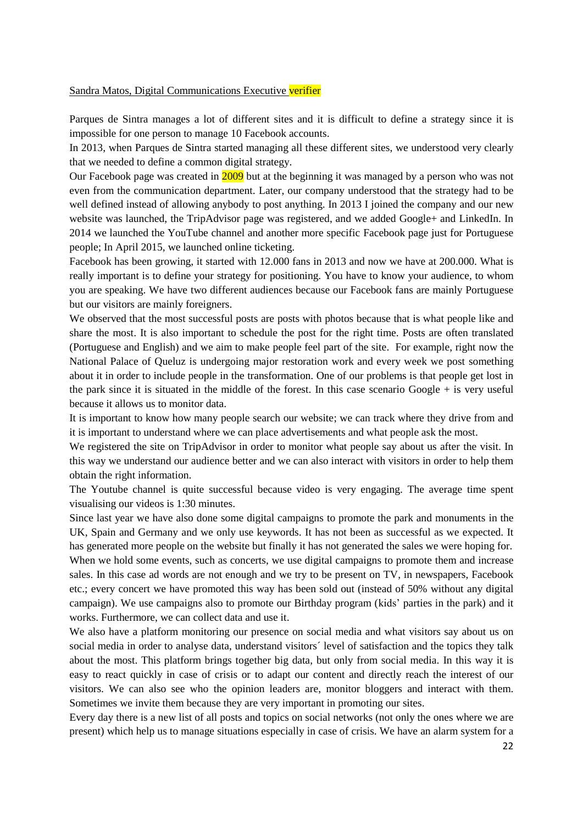#### Sandra Matos, Digital Communications Executive verifier

Parques de Sintra manages a lot of different sites and it is difficult to define a strategy since it is impossible for one person to manage 10 Facebook accounts.

In 2013, when Parques de Sintra started managing all these different sites, we understood very clearly that we needed to define a common digital strategy.

Our Facebook page was created in 2009 but at the beginning it was managed by a person who was not even from the communication department. Later, our company understood that the strategy had to be well defined instead of allowing anybody to post anything. In 2013 I joined the company and our new website was launched, the TripAdvisor page was registered, and we added Google+ and LinkedIn. In 2014 we launched the YouTube channel and another more specific Facebook page just for Portuguese people; In April 2015, we launched online ticketing.

Facebook has been growing, it started with 12.000 fans in 2013 and now we have at 200.000. What is really important is to define your strategy for positioning. You have to know your audience, to whom you are speaking. We have two different audiences because our Facebook fans are mainly Portuguese but our visitors are mainly foreigners.

We observed that the most successful posts are posts with photos because that is what people like and share the most. It is also important to schedule the post for the right time. Posts are often translated (Portuguese and English) and we aim to make people feel part of the site. For example, right now the National Palace of Queluz is undergoing major restoration work and every week we post something about it in order to include people in the transformation. One of our problems is that people get lost in the park since it is situated in the middle of the forest. In this case scenario Google + is very useful because it allows us to monitor data.

It is important to know how many people search our website; we can track where they drive from and it is important to understand where we can place advertisements and what people ask the most.

We registered the site on TripAdvisor in order to monitor what people say about us after the visit. In this way we understand our audience better and we can also interact with visitors in order to help them obtain the right information.

The Youtube channel is quite successful because video is very engaging. The average time spent visualising our videos is 1:30 minutes.

Since last year we have also done some digital campaigns to promote the park and monuments in the UK, Spain and Germany and we only use keywords. It has not been as successful as we expected. It has generated more people on the website but finally it has not generated the sales we were hoping for. When we hold some events, such as concerts, we use digital campaigns to promote them and increase sales. In this case ad words are not enough and we try to be present on TV, in newspapers, Facebook etc.; every concert we have promoted this way has been sold out (instead of 50% without any digital campaign). We use campaigns also to promote our Birthday program (kids' parties in the park) and it works. Furthermore, we can collect data and use it.

We also have a platform monitoring our presence on social media and what visitors say about us on social media in order to analyse data, understand visitors´ level of satisfaction and the topics they talk about the most. This platform brings together big data, but only from social media. In this way it is easy to react quickly in case of crisis or to adapt our content and directly reach the interest of our visitors. We can also see who the opinion leaders are, monitor bloggers and interact with them. Sometimes we invite them because they are very important in promoting our sites.

Every day there is a new list of all posts and topics on social networks (not only the ones where we are present) which help us to manage situations especially in case of crisis. We have an alarm system for a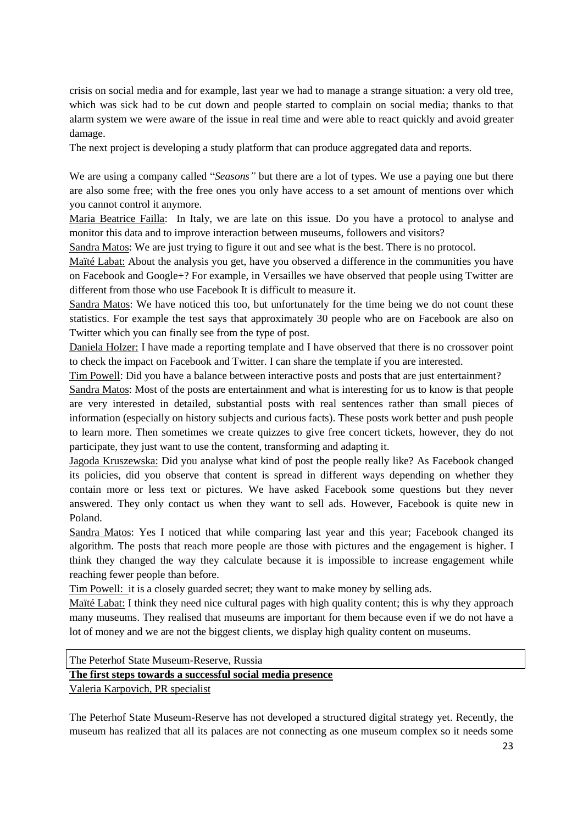crisis on social media and for example, last year we had to manage a strange situation: a very old tree, which was sick had to be cut down and people started to complain on social media; thanks to that alarm system we were aware of the issue in real time and were able to react quickly and avoid greater damage.

The next project is developing a study platform that can produce aggregated data and reports.

We are using a company called "*Seasons"* but there are a lot of types. We use a paying one but there are also some free; with the free ones you only have access to a set amount of mentions over which you cannot control it anymore.

Maria Beatrice Failla: In Italy, we are late on this issue. Do you have a protocol to analyse and monitor this data and to improve interaction between museums, followers and visitors?

Sandra Matos: We are just trying to figure it out and see what is the best. There is no protocol.

Maïté Labat: About the analysis you get, have you observed a difference in the communities you have on Facebook and Google+? For example, in Versailles we have observed that people using Twitter are different from those who use Facebook It is difficult to measure it.

Sandra Matos: We have noticed this too, but unfortunately for the time being we do not count these statistics. For example the test says that approximately 30 people who are on Facebook are also on Twitter which you can finally see from the type of post.

Daniela Holzer: I have made a reporting template and I have observed that there is no crossover point to check the impact on Facebook and Twitter. I can share the template if you are interested.

Tim Powell: Did you have a balance between interactive posts and posts that are just entertainment?

Sandra Matos: Most of the posts are entertainment and what is interesting for us to know is that people are very interested in detailed, substantial posts with real sentences rather than small pieces of information (especially on history subjects and curious facts). These posts work better and push people to learn more. Then sometimes we create quizzes to give free concert tickets, however, they do not participate, they just want to use the content, transforming and adapting it.

Jagoda Kruszewska: Did you analyse what kind of post the people really like? As Facebook changed its policies, did you observe that content is spread in different ways depending on whether they contain more or less text or pictures. We have asked Facebook some questions but they never answered. They only contact us when they want to sell ads. However, Facebook is quite new in Poland.

Sandra Matos: Yes I noticed that while comparing last year and this year; Facebook changed its algorithm. The posts that reach more people are those with pictures and the engagement is higher. I think they changed the way they calculate because it is impossible to increase engagement while reaching fewer people than before.

Tim Powell: it is a closely guarded secret; they want to make money by selling ads.

Maïté Labat: I think they need nice cultural pages with high quality content; this is why they approach many museums. They realised that museums are important for them because even if we do not have a lot of money and we are not the biggest clients, we display high quality content on museums.

# The Peterhof State Museum-Reserve, Russia **The first steps towards a successful social media presence** Valeria Karpovich, PR specialist

The Peterhof State Museum-Reserve has not developed a structured digital strategy yet. Recently, the museum has realized that all its palaces are not connecting as one museum complex so it needs some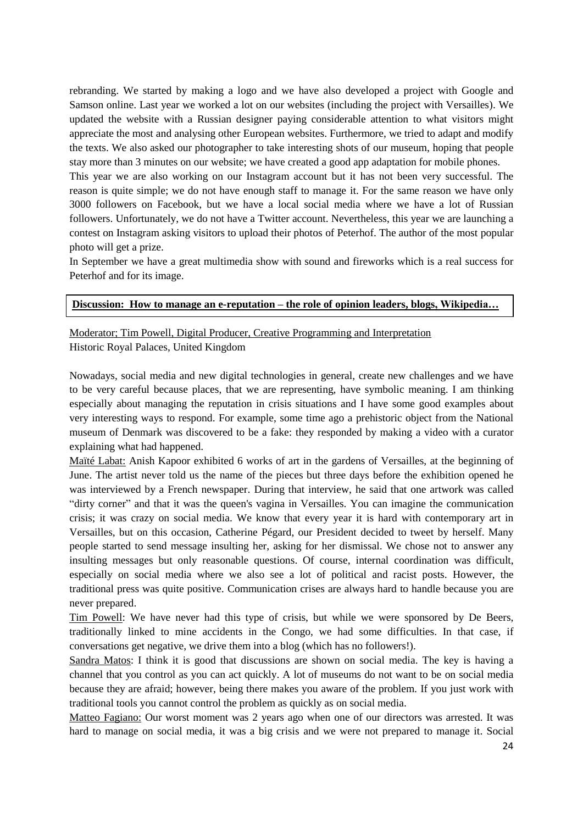rebranding. We started by making a logo and we have also developed a project with Google and Samson online. Last year we worked a lot on our websites (including the project with Versailles). We updated the website with a Russian designer paying considerable attention to what visitors might appreciate the most and analysing other European websites. Furthermore, we tried to adapt and modify the texts. We also asked our photographer to take interesting shots of our museum, hoping that people stay more than 3 minutes on our website; we have created a good app adaptation for mobile phones.

This year we are also working on our Instagram account but it has not been very successful. The reason is quite simple; we do not have enough staff to manage it. For the same reason we have only 3000 followers on Facebook, but we have a local social media where we have a lot of Russian followers. Unfortunately, we do not have a Twitter account. Nevertheless, this year we are launching a contest on Instagram asking visitors to upload their photos of Peterhof. The author of the most popular photo will get a prize.

In September we have a great multimedia show with sound and fireworks which is a real success for Peterhof and for its image.

#### **Discussion: How to manage an e-reputation – the role of opinion leaders, blogs, Wikipedia…**

Moderator; Tim Powell, Digital Producer, Creative Programming and Interpretation Historic Royal Palaces, United Kingdom

Nowadays, social media and new digital technologies in general, create new challenges and we have to be very careful because places, that we are representing, have symbolic meaning. I am thinking especially about managing the reputation in crisis situations and I have some good examples about very interesting ways to respond. For example, some time ago a prehistoric object from the National museum of Denmark was discovered to be a fake: they responded by making a video with a curator explaining what had happened.

Maïté Labat: Anish Kapoor exhibited 6 works of art in the gardens of Versailles, at the beginning of June. The artist never told us the name of the pieces but three days before the exhibition opened he was interviewed by a French newspaper. During that interview, he said that one artwork was called "dirty corner" and that it was the queen's vagina in Versailles. You can imagine the communication crisis; it was crazy on social media. We know that every year it is hard with contemporary art in Versailles, but on this occasion, Catherine Pégard, our President decided to tweet by herself. Many people started to send message insulting her, asking for her dismissal. We chose not to answer any insulting messages but only reasonable questions. Of course, internal coordination was difficult, especially on social media where we also see a lot of political and racist posts. However, the traditional press was quite positive. Communication crises are always hard to handle because you are never prepared.

Tim Powell: We have never had this type of crisis, but while we were sponsored by De Beers, traditionally linked to mine accidents in the Congo, we had some difficulties. In that case, if conversations get negative, we drive them into a blog (which has no followers!).

Sandra Matos: I think it is good that discussions are shown on social media. The key is having a channel that you control as you can act quickly. A lot of museums do not want to be on social media because they are afraid; however, being there makes you aware of the problem. If you just work with traditional tools you cannot control the problem as quickly as on social media.

Matteo Fagiano: Our worst moment was 2 years ago when one of our directors was arrested. It was hard to manage on social media, it was a big crisis and we were not prepared to manage it. Social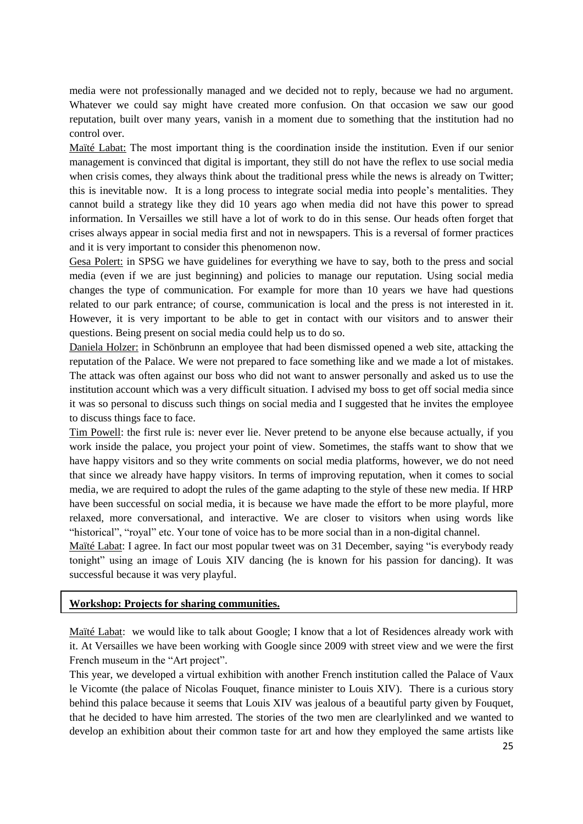media were not professionally managed and we decided not to reply, because we had no argument. Whatever we could say might have created more confusion. On that occasion we saw our good reputation, built over many years, vanish in a moment due to something that the institution had no control over.

Maïté Labat: The most important thing is the coordination inside the institution. Even if our senior management is convinced that digital is important, they still do not have the reflex to use social media when crisis comes, they always think about the traditional press while the news is already on Twitter; this is inevitable now. It is a long process to integrate social media into people's mentalities. They cannot build a strategy like they did 10 years ago when media did not have this power to spread information. In Versailles we still have a lot of work to do in this sense. Our heads often forget that crises always appear in social media first and not in newspapers. This is a reversal of former practices and it is very important to consider this phenomenon now.

Gesa Polert: in SPSG we have guidelines for everything we have to say, both to the press and social media (even if we are just beginning) and policies to manage our reputation. Using social media changes the type of communication. For example for more than 10 years we have had questions related to our park entrance; of course, communication is local and the press is not interested in it. However, it is very important to be able to get in contact with our visitors and to answer their questions. Being present on social media could help us to do so.

Daniela Holzer: in Schönbrunn an employee that had been dismissed opened a web site, attacking the reputation of the Palace. We were not prepared to face something like and we made a lot of mistakes. The attack was often against our boss who did not want to answer personally and asked us to use the institution account which was a very difficult situation. I advised my boss to get off social media since it was so personal to discuss such things on social media and I suggested that he invites the employee to discuss things face to face.

Tim Powell: the first rule is: never ever lie. Never pretend to be anyone else because actually, if you work inside the palace, you project your point of view. Sometimes, the staffs want to show that we have happy visitors and so they write comments on social media platforms, however, we do not need that since we already have happy visitors. In terms of improving reputation, when it comes to social media, we are required to adopt the rules of the game adapting to the style of these new media. If HRP have been successful on social media, it is because we have made the effort to be more playful, more relaxed, more conversational, and interactive. We are closer to visitors when using words like "historical", "royal" etc. Your tone of voice has to be more social than in a non-digital channel.

Maïté Labat: I agree. In fact our most popular tweet was on 31 December, saying "is everybody ready tonight" using an image of Louis XIV dancing (he is known for his passion for dancing). It was successful because it was very playful.

#### **Workshop: Projects for sharing communities.**

Maïté Labat: we would like to talk about Google; I know that a lot of Residences already work with it. At Versailles we have been working with Google since 2009 with street view and we were the first French museum in the "Art project".

This year, we developed a virtual exhibition with another French institution called the Palace of Vaux le Vicomte (the palace of Nicolas Fouquet, finance minister to Louis XIV). There is a curious story behind this palace because it seems that Louis XIV was jealous of a beautiful party given by Fouquet, that he decided to have him arrested. The stories of the two men are clearlylinked and we wanted to develop an exhibition about their common taste for art and how they employed the same artists like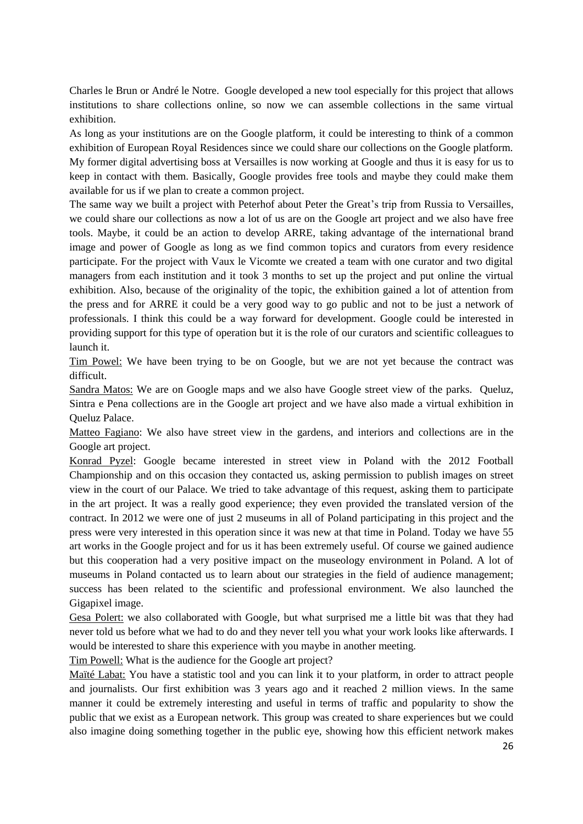Charles le Brun or André le Notre. Google developed a new tool especially for this project that allows institutions to share collections online, so now we can assemble collections in the same virtual exhibition.

As long as your institutions are on the Google platform, it could be interesting to think of a common exhibition of European Royal Residences since we could share our collections on the Google platform. My former digital advertising boss at Versailles is now working at Google and thus it is easy for us to keep in contact with them. Basically, Google provides free tools and maybe they could make them available for us if we plan to create a common project.

The same way we built a project with Peterhof about Peter the Great's trip from Russia to Versailles, we could share our collections as now a lot of us are on the Google art project and we also have free tools. Maybe, it could be an action to develop ARRE, taking advantage of the international brand image and power of Google as long as we find common topics and curators from every residence participate. For the project with Vaux le Vicomte we created a team with one curator and two digital managers from each institution and it took 3 months to set up the project and put online the virtual exhibition. Also, because of the originality of the topic, the exhibition gained a lot of attention from the press and for ARRE it could be a very good way to go public and not to be just a network of professionals. I think this could be a way forward for development. Google could be interested in providing support for this type of operation but it is the role of our curators and scientific colleagues to launch it.

Tim Powel: We have been trying to be on Google, but we are not yet because the contract was difficult.

Sandra Matos: We are on Google maps and we also have Google street view of the parks. Queluz, Sintra e Pena collections are in the Google art project and we have also made a virtual exhibition in Queluz Palace.

Matteo Fagiano: We also have street view in the gardens, and interiors and collections are in the Google art project.

Konrad Pyzel: Google became interested in street view in Poland with the 2012 Football Championship and on this occasion they contacted us, asking permission to publish images on street view in the court of our Palace. We tried to take advantage of this request, asking them to participate in the art project. It was a really good experience; they even provided the translated version of the contract. In 2012 we were one of just 2 museums in all of Poland participating in this project and the press were very interested in this operation since it was new at that time in Poland. Today we have 55 art works in the Google project and for us it has been extremely useful. Of course we gained audience but this cooperation had a very positive impact on the museology environment in Poland. A lot of museums in Poland contacted us to learn about our strategies in the field of audience management; success has been related to the scientific and professional environment. We also launched the Gigapixel image.

Gesa Polert: we also collaborated with Google, but what surprised me a little bit was that they had never told us before what we had to do and they never tell you what your work looks like afterwards. I would be interested to share this experience with you maybe in another meeting.

Tim Powell: What is the audience for the Google art project?

Maïté Labat: You have a statistic tool and you can link it to your platform, in order to attract people and journalists. Our first exhibition was 3 years ago and it reached 2 million views. In the same manner it could be extremely interesting and useful in terms of traffic and popularity to show the public that we exist as a European network. This group was created to share experiences but we could also imagine doing something together in the public eye, showing how this efficient network makes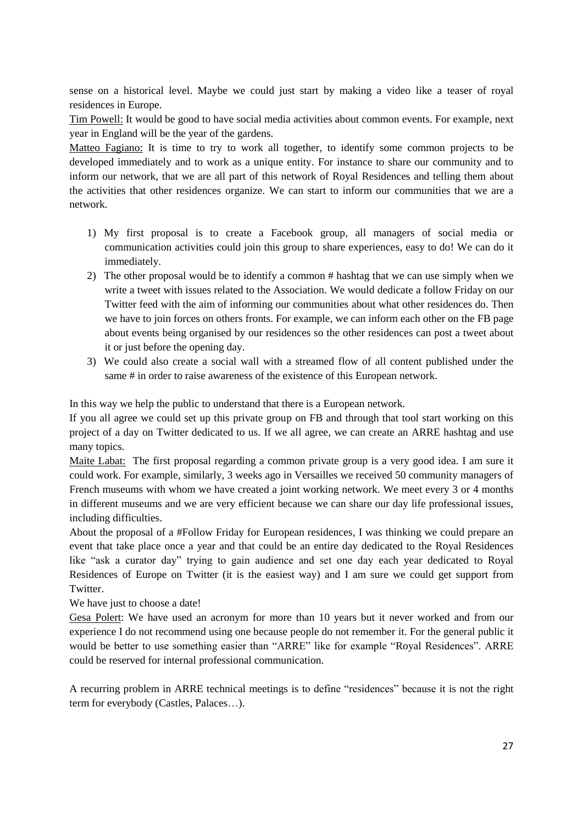sense on a historical level. Maybe we could just start by making a video like a teaser of royal residences in Europe.

Tim Powell: It would be good to have social media activities about common events. For example, next year in England will be the year of the gardens.

Matteo Fagiano: It is time to try to work all together, to identify some common projects to be developed immediately and to work as a unique entity. For instance to share our community and to inform our network, that we are all part of this network of Royal Residences and telling them about the activities that other residences organize. We can start to inform our communities that we are a network.

- 1) My first proposal is to create a Facebook group, all managers of social media or communication activities could join this group to share experiences, easy to do! We can do it immediately.
- 2) The other proposal would be to identify a common # hashtag that we can use simply when we write a tweet with issues related to the Association. We would dedicate a follow Friday on our Twitter feed with the aim of informing our communities about what other residences do. Then we have to join forces on others fronts. For example, we can inform each other on the FB page about events being organised by our residences so the other residences can post a tweet about it or just before the opening day.
- 3) We could also create a social wall with a streamed flow of all content published under the same # in order to raise awareness of the existence of this European network.

In this way we help the public to understand that there is a European network.

If you all agree we could set up this private group on FB and through that tool start working on this project of a day on Twitter dedicated to us. If we all agree, we can create an ARRE hashtag and use many topics.

Maite Labat: The first proposal regarding a common private group is a very good idea. I am sure it could work. For example, similarly, 3 weeks ago in Versailles we received 50 community managers of French museums with whom we have created a joint working network. We meet every 3 or 4 months in different museums and we are very efficient because we can share our day life professional issues, including difficulties.

About the proposal of a #Follow Friday for European residences, I was thinking we could prepare an event that take place once a year and that could be an entire day dedicated to the Royal Residences like "ask a curator day" trying to gain audience and set one day each year dedicated to Royal Residences of Europe on Twitter (it is the easiest way) and I am sure we could get support from Twitter.

We have just to choose a date!

Gesa Polert: We have used an acronym for more than 10 years but it never worked and from our experience I do not recommend using one because people do not remember it. For the general public it would be better to use something easier than "ARRE" like for example "Royal Residences". ARRE could be reserved for internal professional communication.

A recurring problem in ARRE technical meetings is to define "residences" because it is not the right term for everybody (Castles, Palaces…).